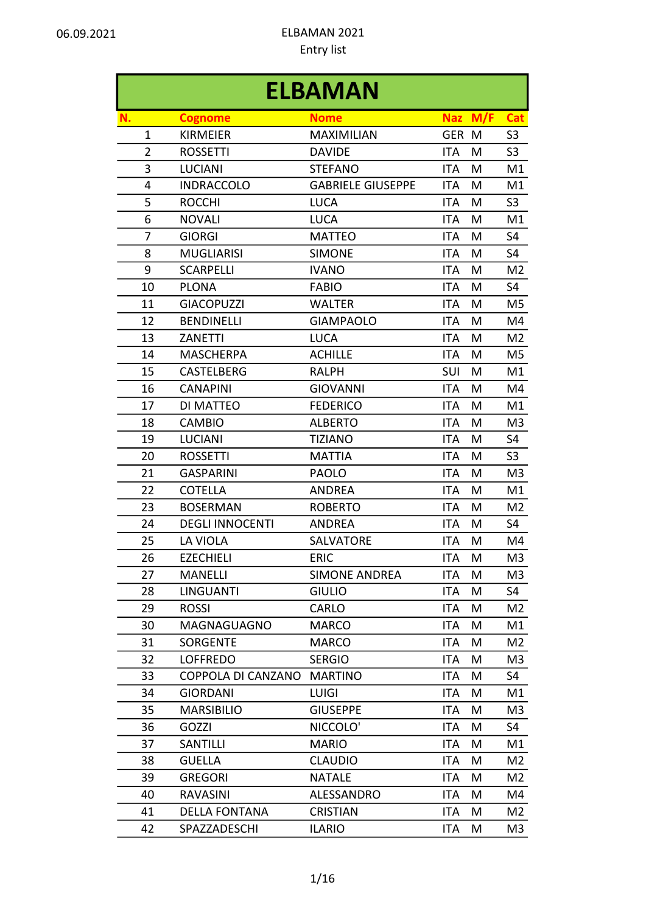|                |                           | <b>ELBAMAN</b>           |            |     |                |
|----------------|---------------------------|--------------------------|------------|-----|----------------|
| N.             | <b>Cognome</b>            | <b>Nome</b>              | <b>Naz</b> | M/F | <b>Cat</b>     |
| $\mathbf 1$    | <b>KIRMEIER</b>           | <b>MAXIMILIAN</b>        | GER M      |     | S <sub>3</sub> |
| $\overline{2}$ | <b>ROSSETTI</b>           | <b>DAVIDE</b>            | <b>ITA</b> | M   | S <sub>3</sub> |
| 3              | <b>LUCIANI</b>            | <b>STEFANO</b>           | <b>ITA</b> | M   | M1             |
| 4              | <b>INDRACCOLO</b>         | <b>GABRIELE GIUSEPPE</b> | <b>ITA</b> | M   | M1             |
| 5              | <b>ROCCHI</b>             | <b>LUCA</b>              | <b>ITA</b> | M   | S <sub>3</sub> |
| 6              | <b>NOVALI</b>             | <b>LUCA</b>              | <b>ITA</b> | M   | M1             |
| 7              | <b>GIORGI</b>             | <b>MATTEO</b>            | <b>ITA</b> | M   | S <sub>4</sub> |
| 8              | <b>MUGLIARISI</b>         | <b>SIMONE</b>            | <b>ITA</b> | M   | S4             |
| 9              | <b>SCARPELLI</b>          | <b>IVANO</b>             | <b>ITA</b> | M   | M <sub>2</sub> |
| 10             | <b>PLONA</b>              | <b>FABIO</b>             | <b>ITA</b> | M   | S <sub>4</sub> |
| 11             | <b>GIACOPUZZI</b>         | <b>WALTER</b>            | ITA        | M   | M5             |
| 12             | <b>BENDINELLI</b>         | <b>GIAMPAOLO</b>         | <b>ITA</b> | M   | M4             |
| 13             | <b>ZANETTI</b>            | <b>LUCA</b>              | <b>ITA</b> | M   | M <sub>2</sub> |
| 14             | <b>MASCHERPA</b>          | <b>ACHILLE</b>           | <b>ITA</b> | M   | M5             |
| 15             | <b>CASTELBERG</b>         | <b>RALPH</b>             | SUI        | M   | M1             |
| 16             | <b>CANAPINI</b>           | <b>GIOVANNI</b>          | <b>ITA</b> | M   | M4             |
| 17             | DI MATTEO                 | <b>FEDERICO</b>          | <b>ITA</b> | M   | M1             |
| 18             | <b>CAMBIO</b>             | <b>ALBERTO</b>           | <b>ITA</b> | M   | M <sub>3</sub> |
| 19             | <b>LUCIANI</b>            | <b>TIZIANO</b>           | <b>ITA</b> | M   | S <sub>4</sub> |
| 20             | <b>ROSSETTI</b>           | <b>MATTIA</b>            | <b>ITA</b> | M   | S <sub>3</sub> |
| 21             | <b>GASPARINI</b>          | <b>PAOLO</b>             | <b>ITA</b> | M   | M <sub>3</sub> |
| 22             | <b>COTELLA</b>            | <b>ANDREA</b>            | <b>ITA</b> | M   | M1             |
| 23             | <b>BOSERMAN</b>           | <b>ROBERTO</b>           | <b>ITA</b> | M   | M <sub>2</sub> |
| 24             | <b>DEGLI INNOCENTI</b>    | <b>ANDREA</b>            | <b>ITA</b> | M   | S <sub>4</sub> |
| 25             | LA VIOLA                  | <b>SALVATORE</b>         | <b>ITA</b> | M   | M4             |
| 26             | <b>EZECHIELI</b>          | <b>ERIC</b>              | <b>ITA</b> | M   | M <sub>3</sub> |
| 27             | <b>MANELLI</b>            | <b>SIMONE ANDREA</b>     | <b>ITA</b> | M   | M <sub>3</sub> |
| 28             | <b>LINGUANTI</b>          | <b>GIULIO</b>            | <b>ITA</b> | M   | S4             |
| 29             | <b>ROSSI</b>              | CARLO                    | <b>ITA</b> | M   | M2             |
| 30             | MAGNAGUAGNO               | <b>MARCO</b>             | <b>ITA</b> | M   | M1             |
| 31             | <b>SORGENTE</b>           | <b>MARCO</b>             | ITA        | M   | M2             |
| 32             | <b>LOFFREDO</b>           | <b>SERGIO</b>            | <b>ITA</b> | M   | M <sub>3</sub> |
| 33             | <b>COPPOLA DI CANZANO</b> | <b>MARTINO</b>           | <b>ITA</b> | M   | S4             |
| 34             | <b>GIORDANI</b>           | <b>LUIGI</b>             | <b>ITA</b> | M   | M1             |
| 35             | <b>MARSIBILIO</b>         | <b>GIUSEPPE</b>          | <b>ITA</b> | M   | M3             |
| 36             | GOZZI                     | NICCOLO'                 | ITA        | M   | S4             |
| 37             | SANTILLI                  | <b>MARIO</b>             | <b>ITA</b> | M   | M1             |
| 38             | <b>GUELLA</b>             | <b>CLAUDIO</b>           | <b>ITA</b> | M   | M2             |
| 39             | <b>GREGORI</b>            | <b>NATALE</b>            | <b>ITA</b> | M   | M2             |
| 40             | <b>RAVASINI</b>           | ALESSANDRO               | <b>ITA</b> | M   | M4             |
| 41             | <b>DELLA FONTANA</b>      | <b>CRISTIAN</b>          | ITA        | M   | M2             |
| 42             | SPAZZADESCHI              | <b>ILARIO</b>            | <b>ITA</b> | M   | M <sub>3</sub> |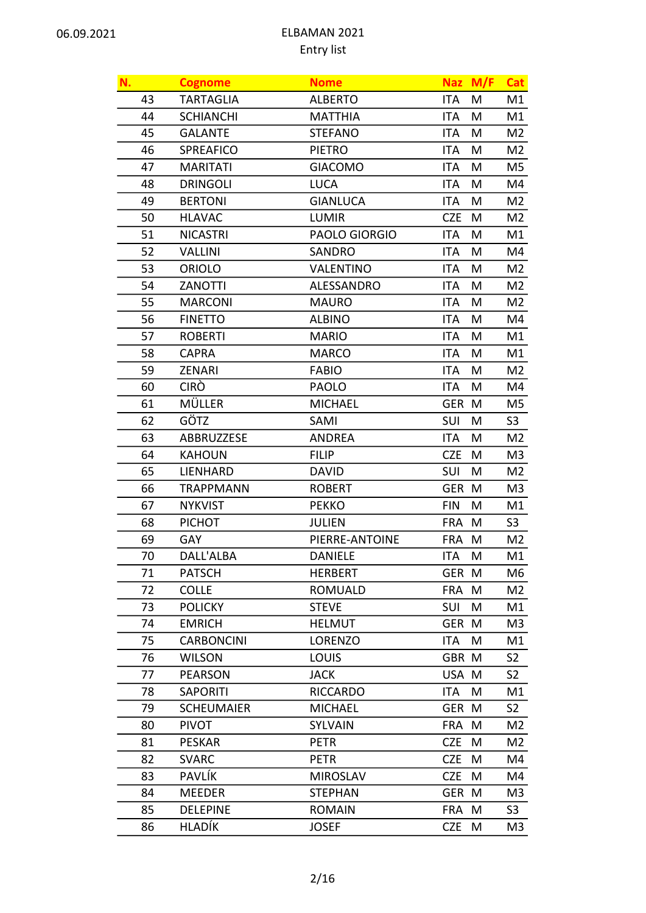| N. | <b>Cognome</b>    | <b>Nome</b>       |            | Naz M/F | Cat            |
|----|-------------------|-------------------|------------|---------|----------------|
| 43 | <b>TARTAGLIA</b>  | <b>ALBERTO</b>    | <b>ITA</b> | M       | M1             |
| 44 | <b>SCHIANCHI</b>  | <b>MATTHIA</b>    | <b>ITA</b> | M       | M1             |
| 45 | <b>GALANTE</b>    | <b>STEFANO</b>    | <b>ITA</b> | M       | M2             |
| 46 | SPREAFICO         | <b>PIETRO</b>     | <b>ITA</b> | M       | M <sub>2</sub> |
| 47 | <b>MARITATI</b>   | <b>GIACOMO</b>    | <b>ITA</b> | M       | M5             |
| 48 | <b>DRINGOLI</b>   | <b>LUCA</b>       | <b>ITA</b> | M       | M4             |
| 49 | <b>BERTONI</b>    | <b>GIANLUCA</b>   | <b>ITA</b> | M       | M <sub>2</sub> |
| 50 | <b>HLAVAC</b>     | <b>LUMIR</b>      | <b>CZE</b> | M       | M2             |
| 51 | <b>NICASTRI</b>   | PAOLO GIORGIO     | <b>ITA</b> | M       | M1             |
| 52 | <b>VALLINI</b>    | SANDRO            | <b>ITA</b> | M       | M4             |
| 53 | <b>ORIOLO</b>     | <b>VALENTINO</b>  | <b>ITA</b> | M       | M2             |
| 54 | ZANOTTI           | <b>ALESSANDRO</b> | <b>ITA</b> | M       | M <sub>2</sub> |
| 55 | <b>MARCONI</b>    | <b>MAURO</b>      | <b>ITA</b> | M       | M2             |
| 56 | <b>FINETTO</b>    | <b>ALBINO</b>     | <b>ITA</b> | M       | M4             |
| 57 | <b>ROBERTI</b>    | <b>MARIO</b>      | <b>ITA</b> | M       | M1             |
| 58 | <b>CAPRA</b>      | <b>MARCO</b>      | <b>ITA</b> | M       | M1             |
| 59 | <b>ZENARI</b>     | <b>FABIO</b>      | <b>ITA</b> | M       | M <sub>2</sub> |
| 60 | <b>CIRO</b>       | <b>PAOLO</b>      | <b>ITA</b> | M       | M4             |
| 61 | MÜLLER            | <b>MICHAEL</b>    | GER M      |         | M5             |
| 62 | GÖTZ              | SAMI              | SUI        | M       | S <sub>3</sub> |
| 63 | ABBRUZZESE        | <b>ANDREA</b>     | <b>ITA</b> | M       | M <sub>2</sub> |
| 64 | <b>KAHOUN</b>     | <b>FILIP</b>      | <b>CZE</b> | M       | M3             |
| 65 | <b>LIENHARD</b>   | <b>DAVID</b>      | <b>SUI</b> | M       | M2             |
| 66 | <b>TRAPPMANN</b>  | <b>ROBERT</b>     | <b>GER</b> | M       | M <sub>3</sub> |
| 67 | <b>NYKVIST</b>    | <b>PEKKO</b>      | <b>FIN</b> | M       | M1             |
| 68 | <b>PICHOT</b>     | <b>JULIEN</b>     | <b>FRA</b> | M       | S <sub>3</sub> |
| 69 | GAY               | PIERRE-ANTOINE    | <b>FRA</b> | M       | M <sub>2</sub> |
| 70 | DALL'ALBA         | <b>DANIELE</b>    | ITA        | M       | M1             |
| 71 | <b>PATSCH</b>     | <b>HERBERT</b>    | GER M      |         | M6             |
| 72 | <b>COLLE</b>      | <b>ROMUALD</b>    | <b>FRA</b> | M       | M2             |
| 73 | <b>POLICKY</b>    | <b>STEVE</b>      | SUI        | M       | M1             |
| 74 | <b>EMRICH</b>     | <b>HELMUT</b>     | <b>GER</b> | M       | M3             |
| 75 | <b>CARBONCINI</b> | <b>LORENZO</b>    | <b>ITA</b> | M       | M1             |
| 76 | <b>WILSON</b>     | LOUIS             | GBR M      |         | S <sub>2</sub> |
| 77 | <b>PEARSON</b>    | <b>JACK</b>       | USA M      |         | S <sub>2</sub> |
| 78 | <b>SAPORITI</b>   | <b>RICCARDO</b>   | <b>ITA</b> | M       | M1             |
| 79 | <b>SCHEUMAIER</b> | <b>MICHAEL</b>    | <b>GER</b> | M       | S <sub>2</sub> |
| 80 | <b>PIVOT</b>      | <b>SYLVAIN</b>    | <b>FRA</b> | M       | M2             |
| 81 | <b>PESKAR</b>     | <b>PETR</b>       | <b>CZE</b> | M       | M2             |
| 82 | <b>SVARC</b>      | <b>PETR</b>       | <b>CZE</b> | M       | M4             |
| 83 | PAVLÍK            | <b>MIROSLAV</b>   | <b>CZE</b> | M       | M4             |
| 84 | <b>MEEDER</b>     | <b>STEPHAN</b>    | <b>GER</b> | M       | M3             |
| 85 | <b>DELEPINE</b>   | <b>ROMAIN</b>     | <b>FRA</b> | M       | S3             |
| 86 | <b>HLADÍK</b>     | <b>JOSEF</b>      | <b>CZE</b> | M       | M3             |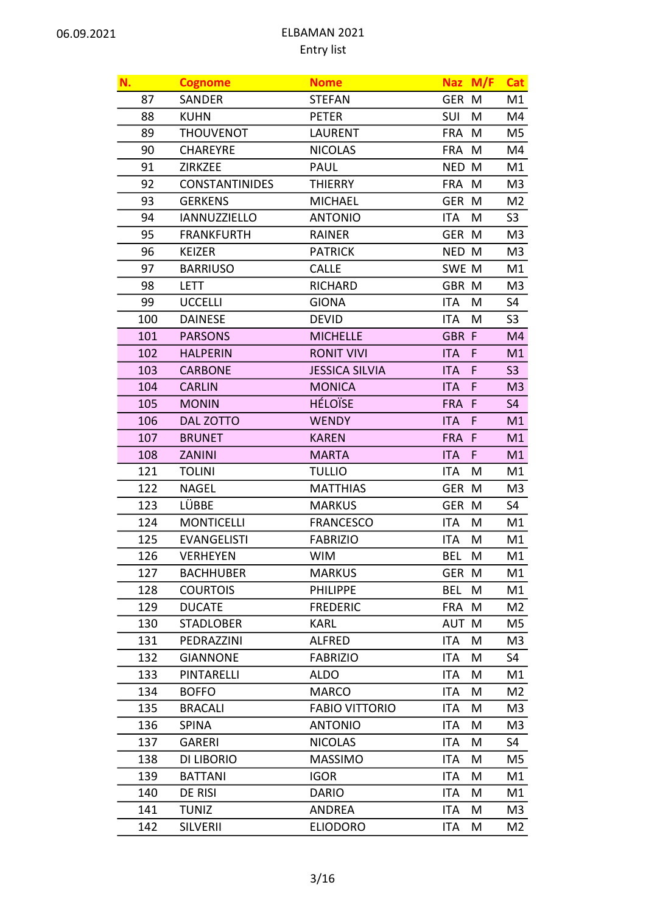| N.  | <b>Cognome</b>        | <b>Nome</b>           |            | Naz M/F | <b>Cat</b>     |
|-----|-----------------------|-----------------------|------------|---------|----------------|
| 87  | SANDER                | <b>STEFAN</b>         | GER M      |         | M1             |
| 88  | <b>KUHN</b>           | <b>PETER</b>          | SUI        | M       | M4             |
| 89  | <b>THOUVENOT</b>      | <b>LAURENT</b>        | <b>FRA</b> | M       | M5             |
| 90  | <b>CHAREYRE</b>       | <b>NICOLAS</b>        | <b>FRA</b> | M       | M4             |
| 91  | <b>ZIRKZEE</b>        | <b>PAUL</b>           | <b>NED</b> | M       | M1             |
| 92  | <b>CONSTANTINIDES</b> | <b>THIERRY</b>        | FRA M      |         | M3             |
| 93  | <b>GERKENS</b>        | <b>MICHAEL</b>        | <b>GER</b> | M       | M <sub>2</sub> |
| 94  | <b>IANNUZZIELLO</b>   | <b>ANTONIO</b>        | ITA        | M       | S <sub>3</sub> |
| 95  | <b>FRANKFURTH</b>     | RAINER                | GER M      |         | M3             |
| 96  | <b>KEIZER</b>         | <b>PATRICK</b>        | NED M      |         | M <sub>3</sub> |
| 97  | <b>BARRIUSO</b>       | <b>CALLE</b>          | SWE M      |         | M1             |
| 98  | <b>LETT</b>           | <b>RICHARD</b>        | GBR M      |         | M <sub>3</sub> |
| 99  | <b>UCCELLI</b>        | <b>GIONA</b>          | ITA        | M       | S4             |
| 100 | <b>DAINESE</b>        | <b>DEVID</b>          | ITA        | M       | S <sub>3</sub> |
| 101 | <b>PARSONS</b>        | <b>MICHELLE</b>       | GBR F      |         | M4             |
| 102 | <b>HALPERIN</b>       | <b>RONIT VIVI</b>     | <b>ITA</b> | F       | M1             |
| 103 | <b>CARBONE</b>        | <b>JESSICA SILVIA</b> | <b>ITA</b> | F       | S <sub>3</sub> |
| 104 | <b>CARLIN</b>         | <b>MONICA</b>         | <b>ITA</b> | F       | M3             |
| 105 | <b>MONIN</b>          | <b>HÉLOÏSE</b>        | FRA F      |         | S <sub>4</sub> |
| 106 | <b>DAL ZOTTO</b>      | <b>WENDY</b>          | <b>ITA</b> | F       | M1             |
| 107 | <b>BRUNET</b>         | <b>KAREN</b>          | FRA F      |         | M1             |
| 108 | <b>ZANINI</b>         | <b>MARTA</b>          | <b>ITA</b> | F       | M1             |
| 121 | <b>TOLINI</b>         | <b>TULLIO</b>         | ITA        | M       | M1             |
| 122 | <b>NAGEL</b>          | <b>MATTHIAS</b>       | GER M      |         | M <sub>3</sub> |
| 123 | <b>LÜBBE</b>          | <b>MARKUS</b>         | <b>GER</b> | M       | S4             |
| 124 | <b>MONTICELLI</b>     | <b>FRANCESCO</b>      | <b>ITA</b> | M       | M1             |
| 125 | <b>EVANGELISTI</b>    | <b>FABRIZIO</b>       | <b>ITA</b> | M       | M1             |
| 126 | <b>VERHEYEN</b>       | <b>WIM</b>            | <b>BEL</b> | M       | M1             |
| 127 | <b>BACHHUBER</b>      | <b>MARKUS</b>         | GER M      |         | M1             |
| 128 | <b>COURTOIS</b>       | <b>PHILIPPE</b>       | <b>BEL</b> | M       | M1             |
| 129 | <b>DUCATE</b>         | <b>FREDERIC</b>       | <b>FRA</b> | M       | M2             |
| 130 | <b>STADLOBER</b>      | <b>KARL</b>           | AUT M      |         | M5             |
| 131 | PEDRAZZINI            | <b>ALFRED</b>         | <b>ITA</b> | M       | M3             |
| 132 | <b>GIANNONE</b>       | <b>FABRIZIO</b>       | ITA        | M       | S4             |
| 133 | PINTARELLI            | <b>ALDO</b>           | <b>ITA</b> | M       | M1             |
| 134 | <b>BOFFO</b>          | <b>MARCO</b>          | <b>ITA</b> | M       | M <sub>2</sub> |
| 135 | <b>BRACALI</b>        | <b>FABIO VITTORIO</b> | <b>ITA</b> | M       | M3             |
| 136 | <b>SPINA</b>          | <b>ANTONIO</b>        | <b>ITA</b> | M       | M3             |
| 137 | <b>GARERI</b>         | <b>NICOLAS</b>        | <b>ITA</b> | M       | S4             |
| 138 | DI LIBORIO            | <b>MASSIMO</b>        | <b>ITA</b> | M       | M5             |
| 139 | <b>BATTANI</b>        | <b>IGOR</b>           | ITA        | M       | M1             |
| 140 | DE RISI               | <b>DARIO</b>          | <b>ITA</b> | M       | M1             |
| 141 | <b>TUNIZ</b>          | <b>ANDREA</b>         | <b>ITA</b> | M       | M3             |
| 142 | <b>SILVERII</b>       | <b>ELIODORO</b>       | ITA        | M       | M2             |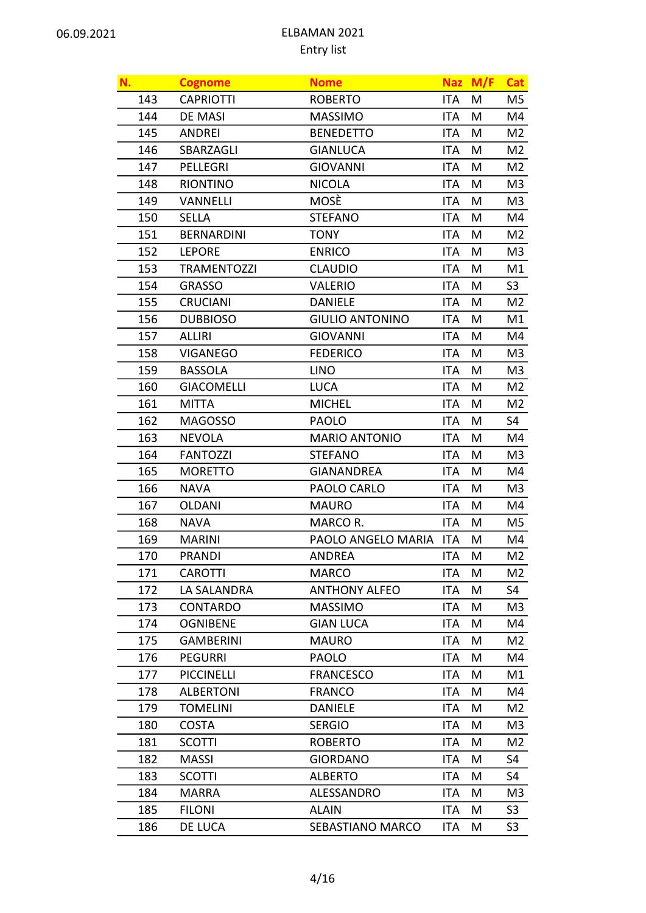| N.  | <b>Cognome</b>     | <b>Nome</b>            |            | Naz M/F | Cat            |
|-----|--------------------|------------------------|------------|---------|----------------|
| 143 | <b>CAPRIOTTI</b>   | <b>ROBERTO</b>         | <b>ITA</b> | M       | M5             |
| 144 | <b>DE MASI</b>     | <b>MASSIMO</b>         | <b>ITA</b> | M       | M4             |
| 145 | <b>ANDREI</b>      | <b>BENEDETTO</b>       | <b>ITA</b> | M       | M2             |
| 146 | SBARZAGLI          | <b>GIANLUCA</b>        | <b>ITA</b> | M       | M2             |
| 147 | PELLEGRI           | <b>GIOVANNI</b>        | <b>ITA</b> | M       | M <sub>2</sub> |
| 148 | <b>RIONTINO</b>    | <b>NICOLA</b>          | <b>ITA</b> | M       | M3             |
| 149 | VANNELLI           | MOSÈ                   | <b>ITA</b> | M       | M3             |
| 150 | SELLA              | <b>STEFANO</b>         | <b>ITA</b> | M       | M4             |
| 151 | <b>BERNARDINI</b>  | <b>TONY</b>            | <b>ITA</b> | M       | M2             |
| 152 | <b>LEPORE</b>      | <b>ENRICO</b>          | <b>ITA</b> | M       | M3             |
| 153 | <b>TRAMENTOZZI</b> | <b>CLAUDIO</b>         | <b>ITA</b> | M       | M1             |
| 154 | <b>GRASSO</b>      | <b>VALERIO</b>         | <b>ITA</b> | M       | S <sub>3</sub> |
| 155 | <b>CRUCIANI</b>    | <b>DANIELE</b>         | <b>ITA</b> | M       | M2             |
| 156 | <b>DUBBIOSO</b>    | <b>GIULIO ANTONINO</b> | <b>ITA</b> | M       | M1             |
| 157 | <b>ALLIRI</b>      | <b>GIOVANNI</b>        | <b>ITA</b> | M       | M4             |
| 158 | <b>VIGANEGO</b>    | <b>FEDERICO</b>        | <b>ITA</b> | M       | M3             |
| 159 | <b>BASSOLA</b>     | <b>LINO</b>            | <b>ITA</b> | M       | M <sub>3</sub> |
| 160 | <b>GIACOMELLI</b>  | <b>LUCA</b>            | <b>ITA</b> | M       | M2             |
| 161 | <b>MITTA</b>       | <b>MICHEL</b>          | <b>ITA</b> | M       | M2             |
| 162 | <b>MAGOSSO</b>     | <b>PAOLO</b>           | <b>ITA</b> | M       | S4             |
| 163 | <b>NEVOLA</b>      | <b>MARIO ANTONIO</b>   | ITA        | M       | M4             |
| 164 | <b>FANTOZZI</b>    | <b>STEFANO</b>         | <b>ITA</b> | M       | M3             |
| 165 | <b>MORETTO</b>     | <b>GIANANDREA</b>      | <b>ITA</b> | M       | M4             |
| 166 | <b>NAVA</b>        | PAOLO CARLO            | <b>ITA</b> | M       | M3             |
| 167 | <b>OLDANI</b>      | <b>MAURO</b>           | <b>ITA</b> | M       | M4             |
| 168 | <b>NAVA</b>        | MARCO R.               | <b>ITA</b> | M       | M5             |
| 169 | <b>MARINI</b>      | PAOLO ANGELO MARIA ITA |            | M       | M4             |
| 170 | <b>PRANDI</b>      | <b>ANDREA</b>          | ITA        | M       | M <sub>2</sub> |
| 171 | <b>CAROTTI</b>     | <b>MARCO</b>           | ITA        | M       | M2             |
| 172 | LA SALANDRA        | <b>ANTHONY ALFEO</b>   | <b>ITA</b> | M       | S4             |
| 173 | <b>CONTARDO</b>    | <b>MASSIMO</b>         | <b>ITA</b> | M       | M3             |
| 174 | <b>OGNIBENE</b>    | <b>GIAN LUCA</b>       | <b>ITA</b> | M       | M4             |
| 175 | <b>GAMBERINI</b>   | <b>MAURO</b>           | <b>ITA</b> | M       | M2             |
| 176 | <b>PEGURRI</b>     | <b>PAOLO</b>           | <b>ITA</b> | M       | M4             |
| 177 | <b>PICCINELLI</b>  | <b>FRANCESCO</b>       | <b>ITA</b> | M       | M1             |
| 178 | <b>ALBERTONI</b>   | <b>FRANCO</b>          | <b>ITA</b> | M       | M4             |
| 179 | <b>TOMELINI</b>    | <b>DANIELE</b>         | <b>ITA</b> | M       | M2             |
| 180 | <b>COSTA</b>       | <b>SERGIO</b>          | <b>ITA</b> | M       | M3             |
| 181 | <b>SCOTTI</b>      | <b>ROBERTO</b>         | <b>ITA</b> | M       | M2             |
| 182 | <b>MASSI</b>       | <b>GIORDANO</b>        | <b>ITA</b> | M       | S4             |
| 183 | <b>SCOTTI</b>      | <b>ALBERTO</b>         | <b>ITA</b> | M       | S4             |
| 184 | <b>MARRA</b>       | ALESSANDRO             | <b>ITA</b> | M       | M3             |
| 185 | <b>FILONI</b>      | <b>ALAIN</b>           | <b>ITA</b> | M       | S <sub>3</sub> |
| 186 | DE LUCA            | SEBASTIANO MARCO       | ITA        | M       | S <sub>3</sub> |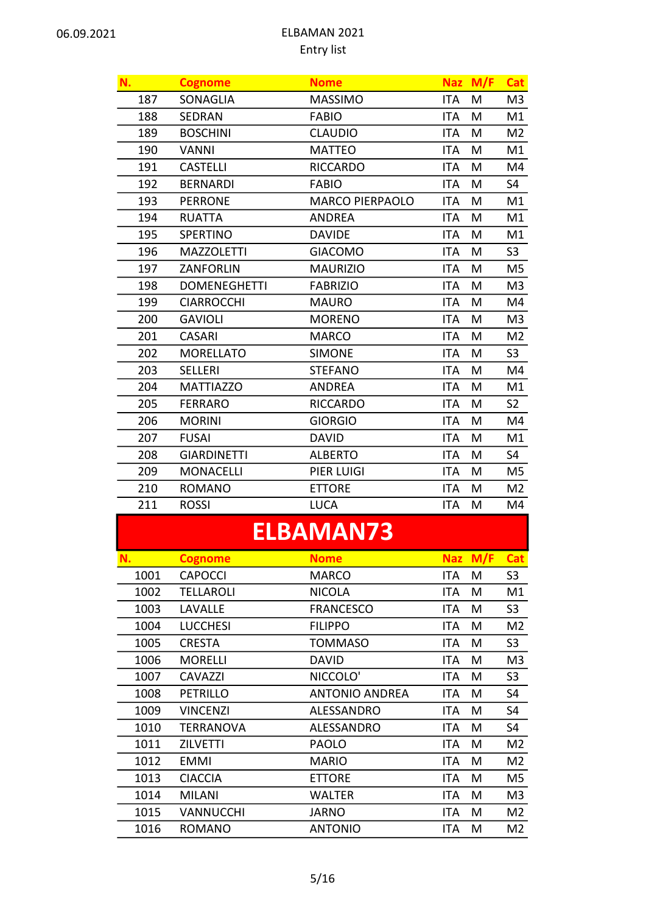| N.             | <b>Cognome</b>      | <b>Nome</b>      |            | Naz M/F | <b>Cat</b>     |
|----------------|---------------------|------------------|------------|---------|----------------|
| 187            | SONAGLIA            | <b>MASSIMO</b>   | <b>ITA</b> | M       | M <sub>3</sub> |
| 188            | <b>SEDRAN</b>       | <b>FABIO</b>     | <b>ITA</b> | M       | M1             |
| 189            | <b>BOSCHINI</b>     | <b>CLAUDIO</b>   | <b>ITA</b> | M       | M <sub>2</sub> |
| 190            | <b>VANNI</b>        | <b>MATTEO</b>    | <b>ITA</b> | M       | M1             |
| 191            | <b>CASTELLI</b>     | <b>RICCARDO</b>  | <b>ITA</b> | M       | M4             |
| 192            | <b>BERNARDI</b>     | <b>FABIO</b>     | <b>ITA</b> | M       | S4             |
| 193            | <b>PERRONE</b>      | MARCO PIERPAOLO  | <b>ITA</b> | M       | M1             |
| 194            | <b>RUATTA</b>       | <b>ANDREA</b>    | <b>ITA</b> | M       | M1             |
| 195            | SPERTINO            | <b>DAVIDE</b>    | <b>ITA</b> | M       | M1             |
| 196            | <b>MAZZOLETTI</b>   | <b>GIACOMO</b>   | <b>ITA</b> | M       | S <sub>3</sub> |
| 197            | ZANFORLIN           | <b>MAURIZIO</b>  | <b>ITA</b> | M       | M5             |
| 198            | <b>DOMENEGHETTI</b> | <b>FABRIZIO</b>  | <b>ITA</b> | M       | M <sub>3</sub> |
| 199            | <b>CIARROCCHI</b>   | <b>MAURO</b>     | <b>ITA</b> | M       | M4             |
| 200            | <b>GAVIOLI</b>      | <b>MORENO</b>    | <b>ITA</b> | M       | M3             |
| 201            | <b>CASARI</b>       | <b>MARCO</b>     | <b>ITA</b> | M       | M <sub>2</sub> |
| 202            | <b>MORELLATO</b>    | <b>SIMONE</b>    | <b>ITA</b> | M       | S <sub>3</sub> |
| 203            | <b>SELLERI</b>      | <b>STEFANO</b>   | <b>ITA</b> | M       | M4             |
| 204            | <b>MATTIAZZO</b>    | <b>ANDREA</b>    | <b>ITA</b> | M       | M1             |
| 205            | <b>FERRARO</b>      | <b>RICCARDO</b>  | <b>ITA</b> | M       | S <sub>2</sub> |
| 206            | <b>MORINI</b>       | <b>GIORGIO</b>   | <b>ITA</b> | M       | M4             |
| 207            | <b>FUSAI</b>        | <b>DAVID</b>     | <b>ITA</b> | M       | M1             |
| 208            | <b>GIARDINETTI</b>  | <b>ALBERTO</b>   | <b>ITA</b> | M       | S4             |
| 209            | <b>MONACELLI</b>    | PIER LUIGI       | <b>ITA</b> | M       | M <sub>5</sub> |
| 210            | <b>ROMANO</b>       | <b>ETTORE</b>    | <b>ITA</b> | M       | M <sub>2</sub> |
| 211            | <b>ROSSI</b>        | <b>LUCA</b>      | <b>ITA</b> | M       | M4             |
|                |                     | <b>ELBAMAN73</b> |            |         |                |
| N.             | <b>Cognome</b>      | <b>Nome</b>      | <b>Naz</b> | M/F     | <b>Cat</b>     |
| 1001           | <b>CAPOCCI</b>      | <b>MARCO</b>     | <b>ITA</b> | M       | S <sub>3</sub> |
| $\overline{a}$ | ----- <b>---</b> -  |                  |            |         |                |

|      | --------         | <u></u>               |      |   | $\tilde{}$     |
|------|------------------|-----------------------|------|---|----------------|
| 1001 | <b>CAPOCCI</b>   | <b>MARCO</b>          | ITA. | M | S <sub>3</sub> |
| 1002 | <b>TELLAROLI</b> | <b>NICOLA</b>         | ITA. | M | M1             |
| 1003 | LAVALLE          | <b>FRANCESCO</b>      | ITA. | M | S <sub>3</sub> |
| 1004 | <b>LUCCHESI</b>  | <b>FILIPPO</b>        | ITA. | M | M2             |
| 1005 | <b>CRESTA</b>    | <b>TOMMASO</b>        | ITA. | M | S <sub>3</sub> |
| 1006 | <b>MORELLI</b>   | <b>DAVID</b>          | ITA. | M | M3             |
| 1007 | <b>CAVAZZI</b>   | NICCOLO'              | ITA. | M | S <sub>3</sub> |
| 1008 | PETRILLO         | <b>ANTONIO ANDREA</b> | ITA. | M | S4             |
| 1009 | <b>VINCENZI</b>  | ALESSANDRO            | ITA. | M | S4             |
| 1010 | TERRANOVA        | ALESSANDRO            | ITA  | M | S4             |
| 1011 | <b>ZILVETTI</b>  | <b>PAOLO</b>          | ITA. | М | M <sub>2</sub> |
| 1012 | <b>EMMI</b>      | <b>MARIO</b>          | ITA. | M | M2             |
| 1013 | <b>CIACCIA</b>   | <b>ETTORE</b>         | ITA. | M | M5             |
| 1014 | <b>MILANI</b>    | <b>WALTER</b>         | ITA. | M | M3             |
| 1015 | <b>VANNUCCHI</b> | JARNO                 | ITA. | M | M2             |
| 1016 | <b>ROMANO</b>    | <b>ANTONIO</b>        | ITA  | M | M2             |
|      |                  |                       |      |   |                |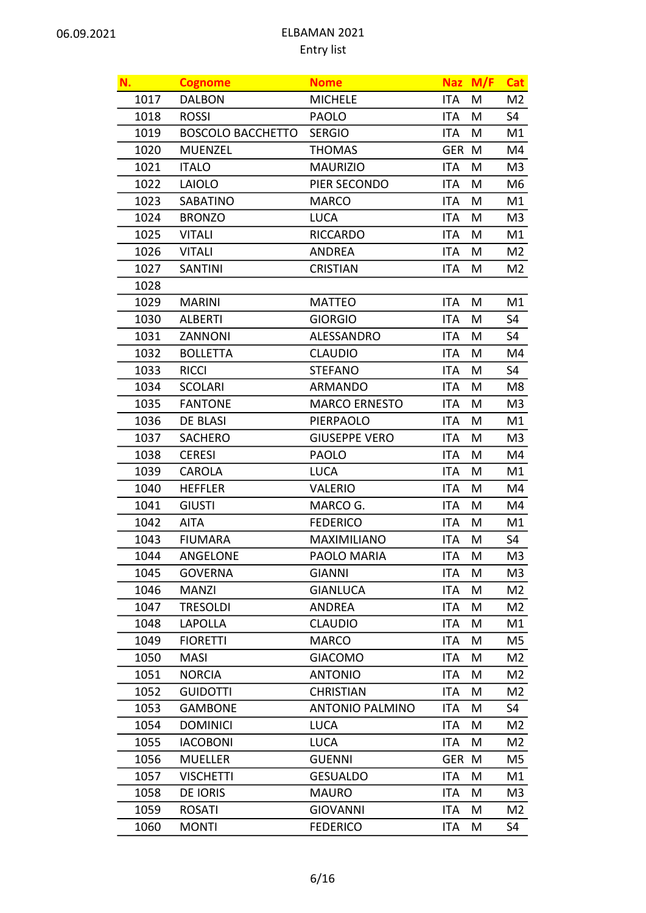| N.   | <b>Cognome</b>           | <b>Nome</b>            |            | Naz M/F | <b>Cat</b>     |
|------|--------------------------|------------------------|------------|---------|----------------|
| 1017 | <b>DALBON</b>            | <b>MICHELE</b>         | <b>ITA</b> | M       | M <sub>2</sub> |
| 1018 | <b>ROSSI</b>             | <b>PAOLO</b>           | <b>ITA</b> | M       | S4             |
| 1019 | <b>BOSCOLO BACCHETTO</b> | <b>SERGIO</b>          | <b>ITA</b> | M       | M1             |
| 1020 | <b>MUENZEL</b>           | <b>THOMAS</b>          | <b>GER</b> | M       | M4             |
| 1021 | <b>ITALO</b>             | <b>MAURIZIO</b>        | <b>ITA</b> | M       | M <sub>3</sub> |
| 1022 | <b>LAIOLO</b>            | PIER SECONDO           | <b>ITA</b> | M       | M6             |
| 1023 | SABATINO                 | <b>MARCO</b>           | <b>ITA</b> | M       | M1             |
| 1024 | <b>BRONZO</b>            | <b>LUCA</b>            | <b>ITA</b> | M       | M3             |
| 1025 | <b>VITALI</b>            | <b>RICCARDO</b>        | <b>ITA</b> | M       | M1             |
| 1026 | <b>VITALI</b>            | <b>ANDREA</b>          | <b>ITA</b> | M       | M <sub>2</sub> |
| 1027 | <b>SANTINI</b>           | <b>CRISTIAN</b>        | <b>ITA</b> | M       | M <sub>2</sub> |
| 1028 |                          |                        |            |         |                |
| 1029 | <b>MARINI</b>            | <b>MATTEO</b>          | <b>ITA</b> | M       | M1             |
| 1030 | <b>ALBERTI</b>           | <b>GIORGIO</b>         | <b>ITA</b> | M       | S <sub>4</sub> |
| 1031 | ZANNONI                  | ALESSANDRO             | <b>ITA</b> | M       | S4             |
| 1032 | <b>BOLLETTA</b>          | <b>CLAUDIO</b>         | <b>ITA</b> | M       | M4             |
| 1033 | <b>RICCI</b>             | <b>STEFANO</b>         | <b>ITA</b> | M       | <b>S4</b>      |
| 1034 | <b>SCOLARI</b>           | <b>ARMANDO</b>         | <b>ITA</b> | M       | M8             |
| 1035 | <b>FANTONE</b>           | <b>MARCO ERNESTO</b>   | <b>ITA</b> | M       | M3             |
| 1036 | <b>DE BLASI</b>          | <b>PIERPAOLO</b>       | <b>ITA</b> | M       | M1             |
| 1037 | <b>SACHERO</b>           | <b>GIUSEPPE VERO</b>   | <b>ITA</b> | M       | M3             |
| 1038 | <b>CERESI</b>            | <b>PAOLO</b>           | <b>ITA</b> | M       | M4             |
| 1039 | CAROLA                   | <b>LUCA</b>            | <b>ITA</b> | M       | M1             |
| 1040 | <b>HEFFLER</b>           | <b>VALERIO</b>         | <b>ITA</b> | M       | M4             |
| 1041 | <b>GIUSTI</b>            | MARCO G.               | <b>ITA</b> | M       | M4             |
| 1042 | <b>AITA</b>              | <b>FEDERICO</b>        | <b>ITA</b> | M       | M1             |
| 1043 | <b>FIUMARA</b>           | <b>MAXIMILIANO</b>     | <b>ITA</b> | M       | <b>S4</b>      |
| 1044 | ANGELONE                 | PAOLO MARIA            | ITA        | M       | M <sub>3</sub> |
| 1045 | <b>GOVERNA</b>           | <b>GIANNI</b>          | ITA        | M       | M3             |
| 1046 | <b>MANZI</b>             | <b>GIANLUCA</b>        | <b>ITA</b> | M       | M2             |
| 1047 | <b>TRESOLDI</b>          | <b>ANDREA</b>          | <b>ITA</b> | M       | M2             |
| 1048 | <b>LAPOLLA</b>           | <b>CLAUDIO</b>         | <b>ITA</b> | M       | M1             |
| 1049 | <b>FIORETTI</b>          | <b>MARCO</b>           | <b>ITA</b> | M       | M5             |
| 1050 | <b>MASI</b>              | <b>GIACOMO</b>         | <b>ITA</b> | M       | M2             |
| 1051 | <b>NORCIA</b>            | <b>ANTONIO</b>         | <b>ITA</b> | M       | M2             |
| 1052 | <b>GUIDOTTI</b>          | <b>CHRISTIAN</b>       | <b>ITA</b> | M       | M <sub>2</sub> |
| 1053 | <b>GAMBONE</b>           | <b>ANTONIO PALMINO</b> | <b>ITA</b> | M       | S4             |
| 1054 | <b>DOMINICI</b>          | <b>LUCA</b>            | <b>ITA</b> | M       | M2             |
| 1055 | <b>IACOBONI</b>          | <b>LUCA</b>            | <b>ITA</b> | M       | M2             |
| 1056 | <b>MUELLER</b>           | <b>GUENNI</b>          | <b>GER</b> | M       | M5             |
| 1057 | <b>VISCHETTI</b>         | <b>GESUALDO</b>        | <b>ITA</b> | M       | M1             |
| 1058 | DE IORIS                 | <b>MAURO</b>           | <b>ITA</b> | M       | M <sub>3</sub> |
| 1059 | <b>ROSATI</b>            | <b>GIOVANNI</b>        | <b>ITA</b> | M       | M2             |
| 1060 | <b>MONTI</b>             | <b>FEDERICO</b>        | ITA        | M       | S4             |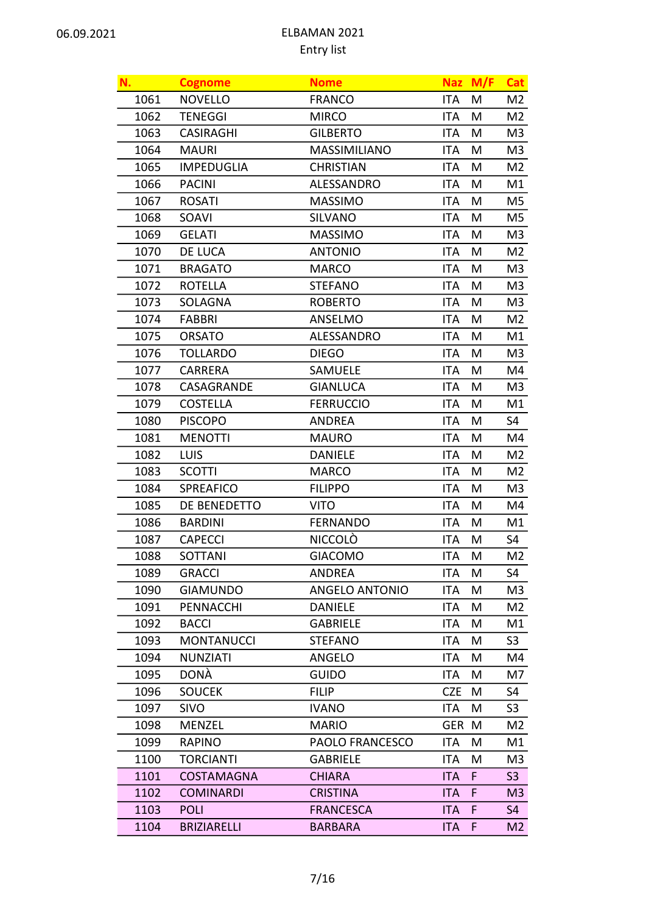| N.   | <b>Cognome</b>     | <b>Nome</b>            |            | Naz M/F | <b>Cat</b>     |
|------|--------------------|------------------------|------------|---------|----------------|
| 1061 | <b>NOVELLO</b>     | <b>FRANCO</b>          | <b>ITA</b> | M       | M2             |
| 1062 | <b>TENEGGI</b>     | <b>MIRCO</b>           | <b>ITA</b> | M       | M <sub>2</sub> |
| 1063 | <b>CASIRAGHI</b>   | <b>GILBERTO</b>        | <b>ITA</b> | M       | M <sub>3</sub> |
| 1064 | <b>MAURI</b>       | MASSIMILIANO           | <b>ITA</b> | M       | M3             |
| 1065 | <b>IMPEDUGLIA</b>  | <b>CHRISTIAN</b>       | <b>ITA</b> | M       | M <sub>2</sub> |
| 1066 | <b>PACINI</b>      | ALESSANDRO             | <b>ITA</b> | M       | M1             |
| 1067 | <b>ROSATI</b>      | <b>MASSIMO</b>         | <b>ITA</b> | M       | M5             |
| 1068 | SOAVI              | <b>SILVANO</b>         | <b>ITA</b> | M       | M5             |
| 1069 | <b>GELATI</b>      | <b>MASSIMO</b>         | <b>ITA</b> | M       | M3             |
| 1070 | DE LUCA            | <b>ANTONIO</b>         | <b>ITA</b> | M       | M <sub>2</sub> |
| 1071 | <b>BRAGATO</b>     | <b>MARCO</b>           | <b>ITA</b> | M       | M3             |
| 1072 | <b>ROTELLA</b>     | <b>STEFANO</b>         | <b>ITA</b> | M       | M <sub>3</sub> |
| 1073 | <b>SOLAGNA</b>     | <b>ROBERTO</b>         | <b>ITA</b> | M       | M3             |
| 1074 | <b>FABBRI</b>      | ANSELMO                | <b>ITA</b> | M       | M2             |
| 1075 | <b>ORSATO</b>      | ALESSANDRO             | <b>ITA</b> | M       | M1             |
| 1076 | <b>TOLLARDO</b>    | <b>DIEGO</b>           | <b>ITA</b> | M       | M3             |
| 1077 | CARRERA            | SAMUELE                | <b>ITA</b> | M       | M4             |
| 1078 | CASAGRANDE         | <b>GIANLUCA</b>        | <b>ITA</b> | M       | M <sub>3</sub> |
| 1079 | <b>COSTELLA</b>    | <b>FERRUCCIO</b>       | <b>ITA</b> | M       | M1             |
| 1080 | <b>PISCOPO</b>     | <b>ANDREA</b>          | <b>ITA</b> | M       | S4             |
| 1081 | <b>MENOTTI</b>     | <b>MAURO</b>           | <b>ITA</b> | M       | M4             |
| 1082 | LUIS               | <b>DANIELE</b>         | <b>ITA</b> | M       | M <sub>2</sub> |
| 1083 | <b>SCOTTI</b>      | <b>MARCO</b>           | <b>ITA</b> | M       | M2             |
| 1084 | SPREAFICO          | <b>FILIPPO</b>         | <b>ITA</b> | M       | M3             |
| 1085 | DE BENEDETTO       | <b>VITO</b>            | <b>ITA</b> | M       | M4             |
| 1086 | <b>BARDINI</b>     | <b>FERNANDO</b>        | <b>ITA</b> | M       | M1             |
| 1087 | <b>CAPECCI</b>     | <b>NICCOLÒ</b>         | <b>ITA</b> | M       | S4             |
| 1088 | SOTTANI            | <b>GIACOMO</b>         | ITA        | M       | M2             |
| 1089 | <b>GRACCI</b>      | ANDREA                 | ITA        | M       | S4             |
| 1090 | <b>GIAMUNDO</b>    | <b>ANGELO ANTONIO</b>  | <b>ITA</b> | M       | M3             |
| 1091 | <b>PENNACCHI</b>   | <b>DANIELE</b>         | <b>ITA</b> | M       | M2             |
| 1092 | <b>BACCI</b>       | <b>GABRIELE</b>        | <b>ITA</b> | M       | M1             |
| 1093 | <b>MONTANUCCI</b>  | <b>STEFANO</b>         | <b>ITA</b> | M       | S <sub>3</sub> |
| 1094 | <b>NUNZIATI</b>    | ANGELO                 | <b>ITA</b> | M       | M4             |
| 1095 | <b>DONÀ</b>        | <b>GUIDO</b>           | <b>ITA</b> | M       | M7             |
| 1096 | <b>SOUCEK</b>      | <b>FILIP</b>           | <b>CZE</b> | M       | S4             |
| 1097 | SIVO               | <b>IVANO</b>           | ITA        | M       | S <sub>3</sub> |
| 1098 | <b>MENZEL</b>      | <b>MARIO</b>           | <b>GER</b> | M       | M2             |
| 1099 | <b>RAPINO</b>      | <b>PAOLO FRANCESCO</b> | <b>ITA</b> | M       | M1             |
| 1100 | <b>TORCIANTI</b>   | <b>GABRIELE</b>        | <b>ITA</b> | M       | M3             |
| 1101 | <b>COSTAMAGNA</b>  | <b>CHIARA</b>          | <b>ITA</b> | F       | S <sub>3</sub> |
| 1102 | <b>COMINARDI</b>   | <b>CRISTINA</b>        | <b>ITA</b> | F       | M3             |
| 1103 | <b>POLI</b>        | <b>FRANCESCA</b>       | <b>ITA</b> | F       | S <sub>4</sub> |
| 1104 | <b>BRIZIARELLI</b> | <b>BARBARA</b>         | <b>ITA</b> | F.      | M2             |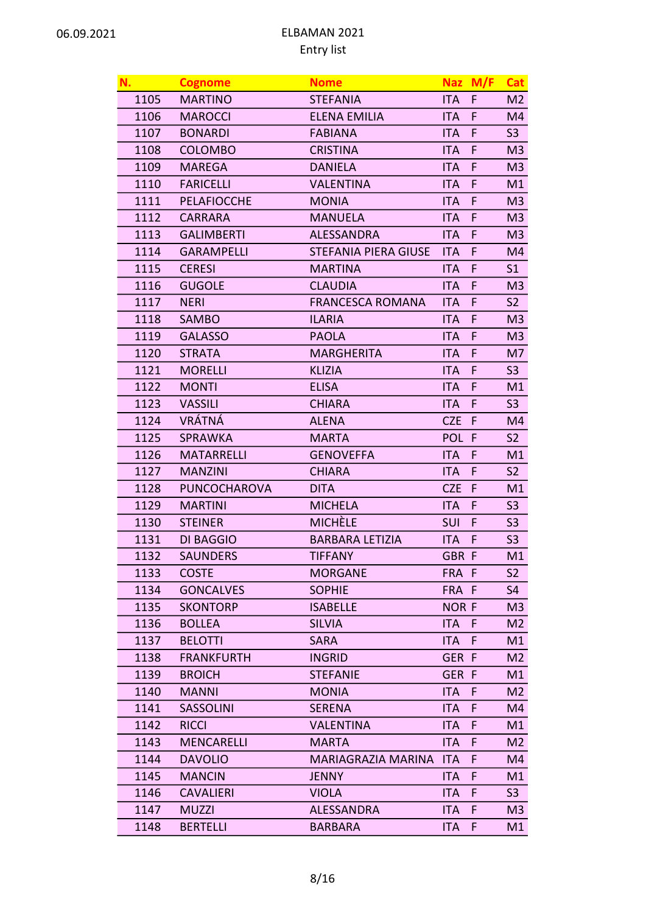| N.   | <b>Cognome</b>     | <b>Nome</b>                 |                  | Naz M/F      | Cat            |
|------|--------------------|-----------------------------|------------------|--------------|----------------|
| 1105 | <b>MARTINO</b>     | <b>STEFANIA</b>             | <b>ITA</b>       | F            | M <sub>2</sub> |
| 1106 | <b>MAROCCI</b>     | <b>ELENA EMILIA</b>         | <b>ITA</b>       | F            | M4             |
| 1107 | <b>BONARDI</b>     | <b>FABIANA</b>              | <b>ITA</b>       | F            | S <sub>3</sub> |
| 1108 | <b>COLOMBO</b>     | <b>CRISTINA</b>             | <b>ITA</b>       | F            | M3             |
| 1109 | <b>MAREGA</b>      | <b>DANIELA</b>              | <b>ITA</b>       | F            | M <sub>3</sub> |
| 1110 | <b>FARICELLI</b>   | <b>VALENTINA</b>            | <b>ITA</b>       | F            | M1             |
| 1111 | <b>PELAFIOCCHE</b> | <b>MONIA</b>                | <b>ITA</b>       | F            | M3             |
| 1112 | <b>CARRARA</b>     | <b>MANUELA</b>              | <b>ITA</b>       | F            | M <sub>3</sub> |
| 1113 | <b>GALIMBERTI</b>  | <b>ALESSANDRA</b>           | <b>ITA</b>       | F            | M3             |
| 1114 | <b>GARAMPELLI</b>  | <b>STEFANIA PIERA GIUSE</b> | <b>ITA</b>       | F            | M4             |
| 1115 | <b>CERESI</b>      | <b>MARTINA</b>              | <b>ITA</b>       | F            | S <sub>1</sub> |
| 1116 | <b>GUGOLE</b>      | <b>CLAUDIA</b>              | <b>ITA</b>       | F            | M3             |
| 1117 | <b>NERI</b>        | <b>FRANCESCA ROMANA</b>     | <b>ITA</b>       | F            | S <sub>2</sub> |
| 1118 | <b>SAMBO</b>       | <b>ILARIA</b>               | <b>ITA</b>       | F            | M3             |
| 1119 | <b>GALASSO</b>     | <b>PAOLA</b>                | <b>ITA</b>       | F            | M <sub>3</sub> |
| 1120 | <b>STRATA</b>      | <b>MARGHERITA</b>           | <b>ITA</b>       | F            | M7             |
| 1121 | <b>MORELLI</b>     | <b>KLIZIA</b>               | <b>ITA</b>       | F            | S <sub>3</sub> |
| 1122 | <b>MONTI</b>       | <b>ELISA</b>                | <b>ITA</b>       | F            | M1             |
| 1123 | <b>VASSILI</b>     | <b>CHIARA</b>               | <b>ITA</b>       | F            | S3             |
| 1124 | <b>VRÁTNÁ</b>      | <b>ALENA</b>                | <b>CZE</b>       | F            | M4             |
| 1125 | <b>SPRAWKA</b>     | <b>MARTA</b>                | POL F            |              | <b>S2</b>      |
| 1126 | <b>MATARRELLI</b>  | <b>GENOVEFFA</b>            | <b>ITA</b>       | F            | M1             |
| 1127 | <b>MANZINI</b>     | <b>CHIARA</b>               | <b>ITA</b>       | F            | S <sub>2</sub> |
| 1128 | PUNCOCHAROVA       | <b>DITA</b>                 | <b>CZE</b>       | F            | M1             |
| 1129 | <b>MARTINI</b>     | <b>MICHELA</b>              | <b>ITA</b>       | F            | S <sub>3</sub> |
| 1130 | <b>STEINER</b>     | <b>MICHÈLE</b>              | <b>SUI</b>       | F            | S <sub>3</sub> |
| 1131 | <b>DI BAGGIO</b>   | <b>BARBARA LETIZIA</b>      | <b>ITA</b>       | F            | S <sub>3</sub> |
| 1132 | <b>SAUNDERS</b>    | TIFFANY                     | GBR <sub>F</sub> |              | M1             |
| 1133 | <b>COSTE</b>       | <b>MORGANE</b>              | FRA F            |              | S <sub>2</sub> |
| 1134 | <b>GONCALVES</b>   | <b>SOPHIE</b>               | FRA F            |              | S4             |
| 1135 | <b>SKONTORP</b>    | <b>ISABELLE</b>             | <b>NOR F</b>     |              | M <sub>3</sub> |
| 1136 | <b>BOLLEA</b>      | <b>SILVIA</b>               | <b>ITA</b>       | $\mathsf{F}$ | M <sub>2</sub> |
| 1137 | <b>BELOTTI</b>     | <b>SARA</b>                 | <b>ITA</b>       | F            | M1             |
| 1138 | <b>FRANKFURTH</b>  | <b>INGRID</b>               | GER F            |              | M2             |
| 1139 | <b>BROICH</b>      | <b>STEFANIE</b>             | GER F            |              | M1             |
| 1140 | <b>MANNI</b>       | <b>MONIA</b>                | <b>ITA</b>       | F            | M <sub>2</sub> |
| 1141 | <b>SASSOLINI</b>   | <b>SERENA</b>               | <b>ITA</b>       | F            | M4             |
| 1142 | <b>RICCI</b>       | <b>VALENTINA</b>            | <b>ITA</b>       | F            | M1             |
| 1143 | <b>MENCARELLI</b>  | <b>MARTA</b>                | <b>ITA</b>       | F            | M <sub>2</sub> |
| 1144 | <b>DAVOLIO</b>     | <b>MARIAGRAZIA MARINA</b>   | <b>ITA</b>       | F            | M4             |
| 1145 | <b>MANCIN</b>      | <b>JENNY</b>                | <b>ITA</b>       | F            | M1             |
| 1146 | <b>CAVALIERI</b>   | <b>VIOLA</b>                | <b>ITA</b>       | F            | S3             |
| 1147 | <b>MUZZI</b>       | <b>ALESSANDRA</b>           | <b>ITA</b>       | F            | M <sub>3</sub> |
| 1148 | <b>BERTELLI</b>    | <b>BARBARA</b>              | <b>ITA</b>       | F.           | M1             |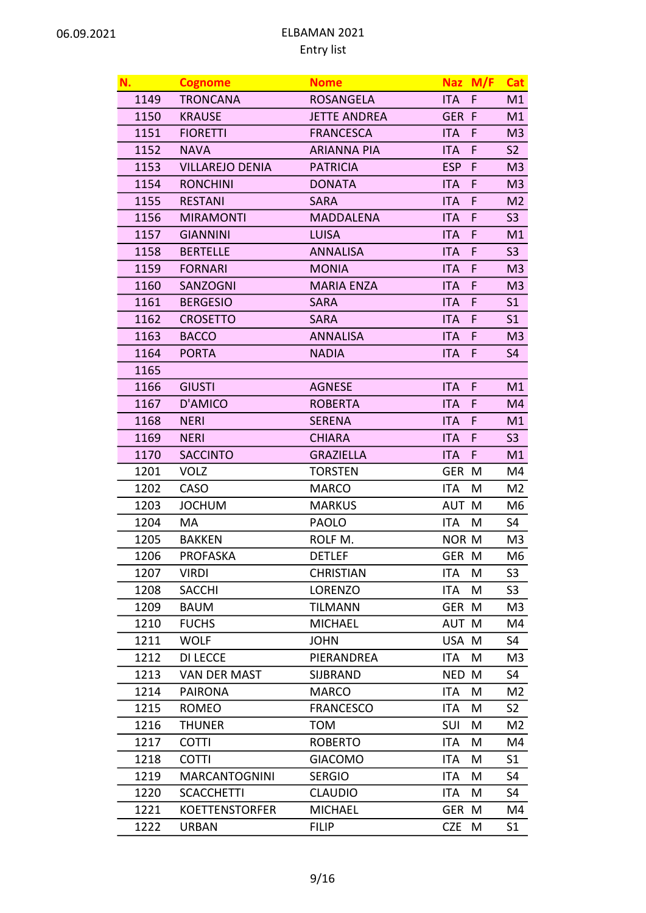| N.   | <b>Cognome</b>         | <b>Nome</b>         |              | Naz M/F | Cat            |
|------|------------------------|---------------------|--------------|---------|----------------|
| 1149 | <b>TRONCANA</b>        | <b>ROSANGELA</b>    | <b>ITA</b>   | F.      | M1             |
| 1150 | <b>KRAUSE</b>          | <b>JETTE ANDREA</b> | GER F        |         | M1             |
| 1151 | <b>FIORETTI</b>        | <b>FRANCESCA</b>    | <b>ITA</b>   | F       | M3             |
| 1152 | <b>NAVA</b>            | <b>ARIANNA PIA</b>  | <b>ITA</b>   | F       | S <sub>2</sub> |
| 1153 | <b>VILLAREJO DENIA</b> | <b>PATRICIA</b>     | <b>ESP</b>   | F       | M <sub>3</sub> |
| 1154 | <b>RONCHINI</b>        | <b>DONATA</b>       | <b>ITA</b>   | F       | M3             |
| 1155 | <b>RESTANI</b>         | <b>SARA</b>         | <b>ITA</b>   | F       | M <sub>2</sub> |
| 1156 | <b>MIRAMONTI</b>       | <b>MADDALENA</b>    | <b>ITA</b>   | F       | S <sub>3</sub> |
| 1157 | <b>GIANNINI</b>        | <b>LUISA</b>        | <b>ITA</b>   | F       | M1             |
| 1158 | <b>BERTELLE</b>        | <b>ANNALISA</b>     | <b>ITA</b>   | F       | S <sub>3</sub> |
| 1159 | <b>FORNARI</b>         | <b>MONIA</b>        | <b>ITA</b>   | F       | M <sub>3</sub> |
| 1160 | <b>SANZOGNI</b>        | <b>MARIA ENZA</b>   | <b>ITA</b>   | F       | M3             |
| 1161 | <b>BERGESIO</b>        | <b>SARA</b>         | <b>ITA</b>   | F       | S <sub>1</sub> |
| 1162 | <b>CROSETTO</b>        | <b>SARA</b>         | <b>ITA</b>   | F       | S <sub>1</sub> |
| 1163 | <b>BACCO</b>           | <b>ANNALISA</b>     | <b>ITA</b>   | F       | M3             |
| 1164 | <b>PORTA</b>           | <b>NADIA</b>        | <b>ITA</b>   | F       | S <sub>4</sub> |
| 1165 |                        |                     |              |         |                |
| 1166 | <b>GIUSTI</b>          | <b>AGNESE</b>       | <b>ITA</b>   | F       | M1             |
| 1167 | D'AMICO                | <b>ROBERTA</b>      | <b>ITA</b>   | F       | M4             |
| 1168 | <b>NERI</b>            | <b>SERENA</b>       | <b>ITA</b>   | F       | M1             |
| 1169 | <b>NERI</b>            | <b>CHIARA</b>       | <b>ITA</b>   | F       | S3             |
| 1170 | <b>SACCINTO</b>        | <b>GRAZIELLA</b>    | <b>ITA</b>   | F.      | M1             |
| 1201 | <b>VOLZ</b>            | <b>TORSTEN</b>      | GER M        |         | M4             |
| 1202 | CASO                   | <b>MARCO</b>        | <b>ITA</b>   | M       | M2             |
| 1203 | <b>JOCHUM</b>          | <b>MARKUS</b>       | AUT M        |         | M6             |
| 1204 | МA                     | <b>PAOLO</b>        | <b>ITA</b>   | M       | S4             |
| 1205 | <b>BAKKEN</b>          | ROLF M.             | <b>NOR M</b> |         | M3             |
| 1206 | <b>PROFASKA</b>        | <b>DETLEF</b>       | GER M        |         | M6             |
| 1207 | <b>VIRDI</b>           | <b>CHRISTIAN</b>    | ITA          | M       | S <sub>3</sub> |
| 1208 | <b>SACCHI</b>          | LORENZO             | ITA          | M       | S3             |
| 1209 | <b>BAUM</b>            | TILMANN             | GER M        |         | M3             |
| 1210 | <b>FUCHS</b>           | <b>MICHAEL</b>      | AUT M        |         | M4             |
| 1211 | <b>WOLF</b>            | <b>JOHN</b>         | USA M        |         | S4             |
| 1212 | <b>DI LECCE</b>        | PIERANDREA          | ITA          | M       | M3             |
| 1213 | <b>VAN DER MAST</b>    | SIJBRAND            | <b>NED</b>   | M       | S4             |
| 1214 | <b>PAIRONA</b>         | <b>MARCO</b>        | <b>ITA</b>   | M       | M2             |
| 1215 | <b>ROMEO</b>           | <b>FRANCESCO</b>    | ITA          | M       | S <sub>2</sub> |
| 1216 | <b>THUNER</b>          | <b>TOM</b>          | <b>SUI</b>   | M       | M2             |
| 1217 | <b>COTTI</b>           | <b>ROBERTO</b>      | <b>ITA</b>   | M       | M4             |
| 1218 | <b>COTTI</b>           | <b>GIACOMO</b>      | <b>ITA</b>   | M       | S <sub>1</sub> |
| 1219 | <b>MARCANTOGNINI</b>   | <b>SERGIO</b>       | <b>ITA</b>   | M       | S4             |
| 1220 | <b>SCACCHETTI</b>      | <b>CLAUDIO</b>      | ITA          | M       | S4             |
| 1221 | <b>KOETTENSTORFER</b>  | <b>MICHAEL</b>      | GER M        |         | M4             |
| 1222 | <b>URBAN</b>           | <b>FILIP</b>        | <b>CZE</b>   | M       | S1             |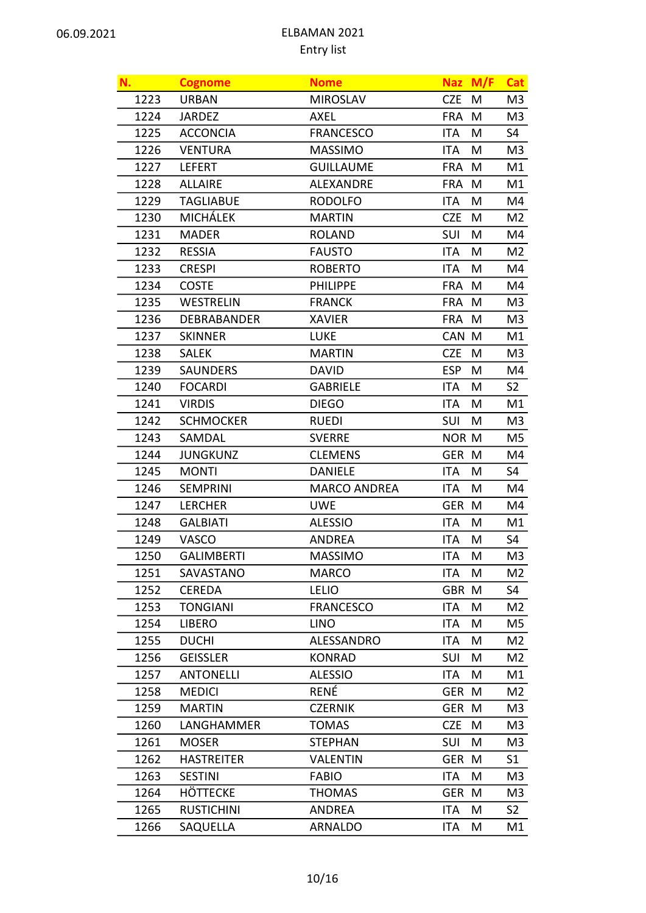| N.   | <b>Cognome</b>     | <b>Nome</b>         | <b>Naz</b>   | M/F | Cat            |
|------|--------------------|---------------------|--------------|-----|----------------|
| 1223 | <b>URBAN</b>       | <b>MIROSLAV</b>     | <b>CZE</b>   | M   | M3             |
| 1224 | <b>JARDEZ</b>      | <b>AXEL</b>         | <b>FRA</b>   | M   | M3             |
| 1225 | <b>ACCONCIA</b>    | <b>FRANCESCO</b>    | <b>ITA</b>   | M   | S4             |
| 1226 | <b>VENTURA</b>     | <b>MASSIMO</b>      | <b>ITA</b>   | M   | M3             |
| 1227 | <b>LEFERT</b>      | <b>GUILLAUME</b>    | <b>FRA</b>   | M   | M1             |
| 1228 | <b>ALLAIRE</b>     | <b>ALEXANDRE</b>    | <b>FRA</b>   | M   | M1             |
| 1229 | <b>TAGLIABUE</b>   | <b>RODOLFO</b>      | <b>ITA</b>   | M   | M4             |
| 1230 | <b>MICHÁLEK</b>    | <b>MARTIN</b>       | <b>CZE</b>   | M   | M2             |
| 1231 | <b>MADER</b>       | <b>ROLAND</b>       | <b>SUI</b>   | M   | M4             |
| 1232 | <b>RESSIA</b>      | <b>FAUSTO</b>       | <b>ITA</b>   | M   | M <sub>2</sub> |
| 1233 | <b>CRESPI</b>      | <b>ROBERTO</b>      | ITA.         | M   | M4             |
| 1234 | <b>COSTE</b>       | <b>PHILIPPE</b>     | <b>FRA</b>   | M   | M4             |
| 1235 | <b>WESTRELIN</b>   | <b>FRANCK</b>       | <b>FRA</b>   | M   | M3             |
| 1236 | <b>DEBRABANDER</b> | <b>XAVIER</b>       | <b>FRA</b>   | M   | M3             |
| 1237 | <b>SKINNER</b>     | <b>LUKE</b>         | CAN M        |     | M1             |
| 1238 | <b>SALEK</b>       | <b>MARTIN</b>       | <b>CZE</b>   | M   | M3             |
| 1239 | <b>SAUNDERS</b>    | <b>DAVID</b>        | <b>ESP</b>   | M   | M4             |
| 1240 | <b>FOCARDI</b>     | <b>GABRIELE</b>     | <b>ITA</b>   | M   | S <sub>2</sub> |
| 1241 | <b>VIRDIS</b>      | <b>DIEGO</b>        | ITA          | M   | M1             |
| 1242 | <b>SCHMOCKER</b>   | <b>RUEDI</b>        | SUI          | M   | M3             |
| 1243 | SAMDAL             | <b>SVERRE</b>       | <b>NOR M</b> |     | M5             |
| 1244 | <b>JUNGKUNZ</b>    | <b>CLEMENS</b>      | GER M        |     | M4             |
| 1245 | <b>MONTI</b>       | <b>DANIELE</b>      | <b>ITA</b>   | M   | S4             |
| 1246 | <b>SEMPRINI</b>    | <b>MARCO ANDREA</b> | <b>ITA</b>   | M   | M4             |
| 1247 | <b>LERCHER</b>     | <b>UWE</b>          | <b>GER</b>   | M   | M4             |
| 1248 | <b>GALBIATI</b>    | <b>ALESSIO</b>      | <b>ITA</b>   | M   | M1             |
| 1249 | VASCO              | <b>ANDREA</b>       | <b>ITA</b>   | M   | S <sub>4</sub> |
| 1250 | <b>GALIMBERTI</b>  | <b>MASSIMO</b>      | ITA          | M   | M <sub>3</sub> |
| 1251 | SAVASTANO          | <b>MARCO</b>        | ITA          | M   | M2             |
| 1252 | <b>CEREDA</b>      | <b>LELIO</b>        | GBR          | M   | S4             |
| 1253 | <b>TONGIANI</b>    | <b>FRANCESCO</b>    | ITA          | M   | M2             |
| 1254 | <b>LIBERO</b>      | <b>LINO</b>         | <b>ITA</b>   | M   | M5             |
| 1255 | <b>DUCHI</b>       | ALESSANDRO          | <b>ITA</b>   | M   | M2             |
| 1256 | <b>GEISSLER</b>    | <b>KONRAD</b>       | <b>SUI</b>   | M   | M2             |
| 1257 | <b>ANTONELLI</b>   | <b>ALESSIO</b>      | ITA          | M   | M1             |
| 1258 | <b>MEDICI</b>      | RENÉ                | GER M        |     | M2             |
| 1259 | <b>MARTIN</b>      | <b>CZERNIK</b>      | GER M        |     | M3             |
| 1260 | LANGHAMMER         | <b>TOMAS</b>        | <b>CZE</b>   | M   | M3             |
| 1261 | <b>MOSER</b>       | <b>STEPHAN</b>      | <b>SUI</b>   | M   | M3             |
| 1262 | <b>HASTREITER</b>  | <b>VALENTIN</b>     | <b>GER</b>   | M   | S <sub>1</sub> |
| 1263 | <b>SESTINI</b>     | <b>FABIO</b>        | ITA          | M   | M3             |
| 1264 | HÖTTECKE           | <b>THOMAS</b>       | GER M        |     | M3             |
| 1265 | <b>RUSTICHINI</b>  | <b>ANDREA</b>       | <b>ITA</b>   | M   | S <sub>2</sub> |
| 1266 | SAQUELLA           | <b>ARNALDO</b>      | ITA          | M   | M1             |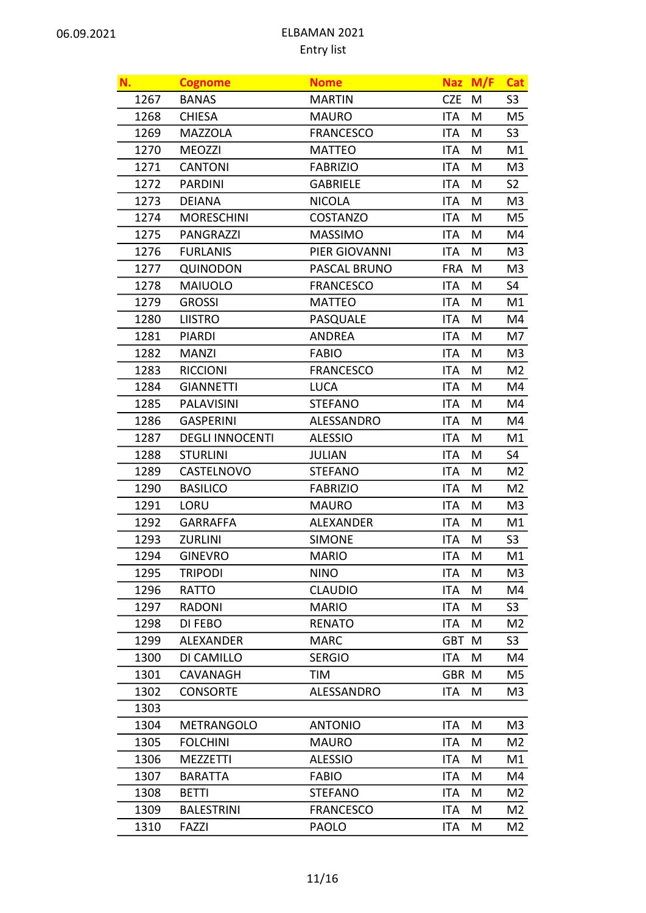| N.   | <b>Cognome</b>         | <b>Nome</b>       | <b>Naz</b> | M/F | <b>Cat</b>     |
|------|------------------------|-------------------|------------|-----|----------------|
| 1267 | <b>BANAS</b>           | <b>MARTIN</b>     | <b>CZE</b> | M   | S <sub>3</sub> |
| 1268 | <b>CHIESA</b>          | <b>MAURO</b>      | <b>ITA</b> | M   | M5             |
| 1269 | <b>MAZZOLA</b>         | <b>FRANCESCO</b>  | <b>ITA</b> | M   | S <sub>3</sub> |
| 1270 | <b>MEOZZI</b>          | <b>MATTEO</b>     | <b>ITA</b> | M   | M1             |
| 1271 | <b>CANTONI</b>         | <b>FABRIZIO</b>   | <b>ITA</b> | M   | M <sub>3</sub> |
| 1272 | <b>PARDINI</b>         | <b>GABRIELE</b>   | <b>ITA</b> | M   | S <sub>2</sub> |
| 1273 | <b>DEIANA</b>          | <b>NICOLA</b>     | <b>ITA</b> | M   | M3             |
| 1274 | <b>MORESCHINI</b>      | <b>COSTANZO</b>   | <b>ITA</b> | M   | M5             |
| 1275 | PANGRAZZI              | <b>MASSIMO</b>    | <b>ITA</b> | M   | M4             |
| 1276 | <b>FURLANIS</b>        | PIER GIOVANNI     | <b>ITA</b> | M   | M3             |
| 1277 | <b>QUINODON</b>        | PASCAL BRUNO      | <b>FRA</b> | M   | M3             |
| 1278 | <b>MAIUOLO</b>         | <b>FRANCESCO</b>  | <b>ITA</b> | M   | S4             |
| 1279 | <b>GROSSI</b>          | <b>MATTEO</b>     | <b>ITA</b> | M   | M1             |
| 1280 | <b>LIISTRO</b>         | <b>PASQUALE</b>   | <b>ITA</b> | M   | M4             |
| 1281 | <b>PIARDI</b>          | <b>ANDREA</b>     | <b>ITA</b> | M   | M7             |
| 1282 | <b>MANZI</b>           | <b>FABIO</b>      | ITA        | M   | M3             |
| 1283 | <b>RICCIONI</b>        | <b>FRANCESCO</b>  | <b>ITA</b> | M   | M <sub>2</sub> |
| 1284 | <b>GIANNETTI</b>       | <b>LUCA</b>       | <b>ITA</b> | M   | M4             |
| 1285 | <b>PALAVISINI</b>      | <b>STEFANO</b>    | <b>ITA</b> | M   | M4             |
| 1286 | <b>GASPERINI</b>       | ALESSANDRO        | <b>ITA</b> | M   | M4             |
| 1287 | <b>DEGLI INNOCENTI</b> | <b>ALESSIO</b>    | <b>ITA</b> | M   | M1             |
| 1288 | <b>STURLINI</b>        | <b>JULIAN</b>     | <b>ITA</b> | M   | S4             |
| 1289 | CASTELNOVO             | <b>STEFANO</b>    | <b>ITA</b> | M   | M2             |
| 1290 | <b>BASILICO</b>        | <b>FABRIZIO</b>   | <b>ITA</b> | M   | M2             |
| 1291 | LORU                   | <b>MAURO</b>      | <b>ITA</b> | M   | M3             |
| 1292 | <b>GARRAFFA</b>        | <b>ALEXANDER</b>  | <b>ITA</b> | M   | M1             |
| 1293 | <b>ZURLINI</b>         | <b>SIMONE</b>     | <b>ITA</b> | M   | S <sub>3</sub> |
| 1294 | <b>GINEVRO</b>         | <b>MARIO</b>      | ITA        | M   | M1             |
| 1295 | <b>TRIPODI</b>         | <b>NINO</b>       | ITA        | M   | M3             |
| 1296 | RATTO                  | <b>CLAUDIO</b>    | <b>ITA</b> | M   | M4             |
| 1297 | <b>RADONI</b>          | <b>MARIO</b>      | <b>ITA</b> | Μ   | S <sub>3</sub> |
| 1298 | DI FEBO                | <b>RENATO</b>     | <b>ITA</b> | M   | M2             |
| 1299 | <b>ALEXANDER</b>       | <b>MARC</b>       | <b>GBT</b> | M   | S <sub>3</sub> |
| 1300 | DI CAMILLO             | <b>SERGIO</b>     | ITA        | M   | M4             |
| 1301 | CAVANAGH               | TIM               | <b>GBR</b> | M   | M5             |
| 1302 | <b>CONSORTE</b>        | <b>ALESSANDRO</b> | ITA        | Μ   | M3             |
| 1303 |                        |                   |            |     |                |
| 1304 | <b>METRANGOLO</b>      | <b>ANTONIO</b>    | <b>ITA</b> | M   | M <sub>3</sub> |
| 1305 | <b>FOLCHINI</b>        | <b>MAURO</b>      | <b>ITA</b> | M   | M2             |
| 1306 | <b>MEZZETTI</b>        | <b>ALESSIO</b>    | <b>ITA</b> | M   | M1             |
| 1307 | <b>BARATTA</b>         | <b>FABIO</b>      | <b>ITA</b> | Μ   | M4             |
| 1308 | <b>BETTI</b>           | <b>STEFANO</b>    | <b>ITA</b> | M   | M <sub>2</sub> |
| 1309 | <b>BALESTRINI</b>      | <b>FRANCESCO</b>  | <b>ITA</b> | Μ   | M2             |
| 1310 | FAZZI                  | <b>PAOLO</b>      | ITA        | M   | M2             |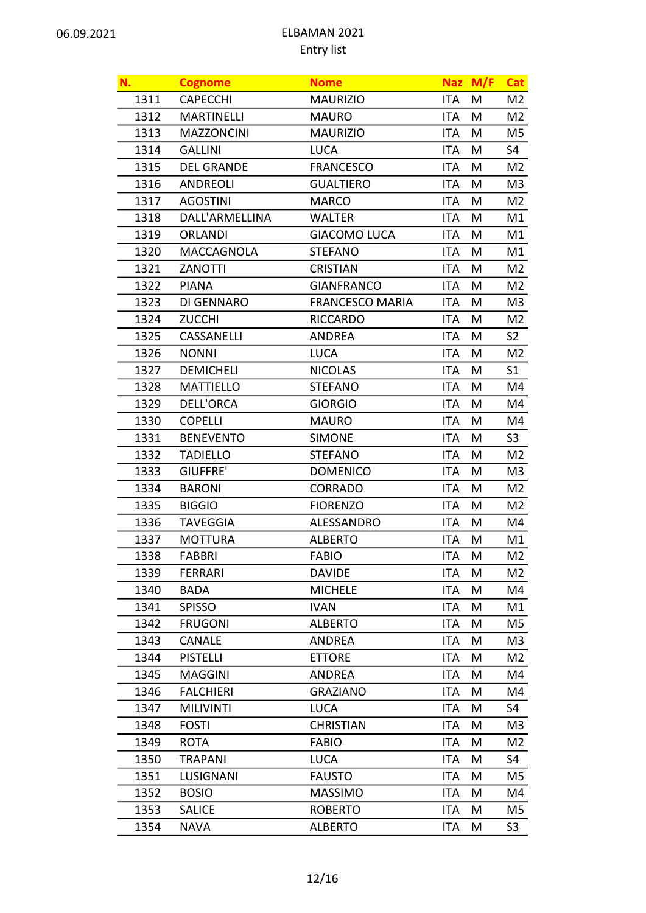| N.   | <b>Cognome</b>    | <b>Nome</b>            | <b>Naz</b> | M/F | <b>Cat</b>     |
|------|-------------------|------------------------|------------|-----|----------------|
| 1311 | <b>CAPECCHI</b>   | <b>MAURIZIO</b>        | ITA        | M   | M2             |
| 1312 | <b>MARTINELLI</b> | <b>MAURO</b>           | <b>ITA</b> | M   | M <sub>2</sub> |
| 1313 | <b>MAZZONCINI</b> | <b>MAURIZIO</b>        | <b>ITA</b> | М   | M5             |
| 1314 | <b>GALLINI</b>    | <b>LUCA</b>            | <b>ITA</b> | M   | S4             |
| 1315 | <b>DEL GRANDE</b> | <b>FRANCESCO</b>       | <b>ITA</b> | M   | M <sub>2</sub> |
| 1316 | <b>ANDREOLI</b>   | <b>GUALTIERO</b>       | ITA.       | M   | M <sub>3</sub> |
| 1317 | <b>AGOSTINI</b>   | <b>MARCO</b>           | <b>ITA</b> | M   | M2             |
| 1318 | DALL'ARMELLINA    | <b>WALTER</b>          | <b>ITA</b> | M   | M1             |
| 1319 | <b>ORLANDI</b>    | <b>GIACOMO LUCA</b>    | <b>ITA</b> | M   | M1             |
| 1320 | MACCAGNOLA        | <b>STEFANO</b>         | <b>ITA</b> | M   | M1             |
| 1321 | <b>ZANOTTI</b>    | <b>CRISTIAN</b>        | ITA        | M   | M2             |
| 1322 | <b>PIANA</b>      | <b>GIANFRANCO</b>      | <b>ITA</b> | M   | M2             |
| 1323 | DI GENNARO        | <b>FRANCESCO MARIA</b> | <b>ITA</b> | М   | M3             |
| 1324 | <b>ZUCCHI</b>     | <b>RICCARDO</b>        | ITA        | M   | M2             |
| 1325 | CASSANELLI        | <b>ANDREA</b>          | <b>ITA</b> | M   | S <sub>2</sub> |
| 1326 | <b>NONNI</b>      | <b>LUCA</b>            | ITA.       | M   | M2             |
| 1327 | <b>DEMICHELI</b>  | <b>NICOLAS</b>         | <b>ITA</b> | M   | S <sub>1</sub> |
| 1328 | <b>MATTIELLO</b>  | <b>STEFANO</b>         | <b>ITA</b> | M   | M4             |
| 1329 | <b>DELL'ORCA</b>  | <b>GIORGIO</b>         | <b>ITA</b> | M   | M4             |
| 1330 | <b>COPELLI</b>    | <b>MAURO</b>           | <b>ITA</b> | M   | M4             |
| 1331 | <b>BENEVENTO</b>  | <b>SIMONE</b>          | ITA        | M   | S <sub>3</sub> |
| 1332 | <b>TADIELLO</b>   | <b>STEFANO</b>         | <b>ITA</b> | M   | M <sub>2</sub> |
| 1333 | GIUFFRE'          | <b>DOMENICO</b>        | <b>ITA</b> | М   | M3             |
| 1334 | <b>BARONI</b>     | <b>CORRADO</b>         | <b>ITA</b> | M   | M2             |
| 1335 | <b>BIGGIO</b>     | <b>FIORENZO</b>        | <b>ITA</b> | M   | M <sub>2</sub> |
| 1336 | <b>TAVEGGIA</b>   | ALESSANDRO             | <b>ITA</b> | M   | M4             |
| 1337 | <b>MOTTURA</b>    | <b>ALBERTO</b>         | <b>ITA</b> | M   | M1             |
| 1338 | <b>FABBRI</b>     | <b>FABIO</b>           | ITA        | M   | M2             |
| 1339 | <b>FERRARI</b>    | <b>DAVIDE</b>          | ITA        | M   | M <sub>2</sub> |
| 1340 | <b>BADA</b>       | <b>MICHELE</b>         | ITA        | M   | M4             |
| 1341 | <b>SPISSO</b>     | <b>IVAN</b>            | <b>ITA</b> | M   | M1             |
| 1342 | <b>FRUGONI</b>    | <b>ALBERTO</b>         | <b>ITA</b> | M   | M5             |
| 1343 | <b>CANALE</b>     | <b>ANDREA</b>          | <b>ITA</b> | Μ   | M3             |
| 1344 | <b>PISTELLI</b>   | <b>ETTORE</b>          | ITA        | M   | M2             |
| 1345 | <b>MAGGINI</b>    | <b>ANDREA</b>          | <b>ITA</b> | M   | M4             |
| 1346 | <b>FALCHIERI</b>  | <b>GRAZIANO</b>        | <b>ITA</b> | M   | M4             |
| 1347 | <b>MILIVINTI</b>  | <b>LUCA</b>            | ITA        | M   | S4             |
| 1348 | <b>FOSTI</b>      | <b>CHRISTIAN</b>       | <b>ITA</b> | Μ   | M3             |
| 1349 | <b>ROTA</b>       | <b>FABIO</b>           | <b>ITA</b> | M   | M2             |
| 1350 | <b>TRAPANI</b>    | <b>LUCA</b>            | <b>ITA</b> | M   | S4             |
| 1351 | LUSIGNANI         | <b>FAUSTO</b>          | <b>ITA</b> | M   | M5             |
| 1352 | <b>BOSIO</b>      | <b>MASSIMO</b>         | <b>ITA</b> | M   | M4             |
| 1353 | <b>SALICE</b>     | <b>ROBERTO</b>         | <b>ITA</b> | Μ   | M5             |
| 1354 | <b>NAVA</b>       | <b>ALBERTO</b>         | ITA        | M   | S <sub>3</sub> |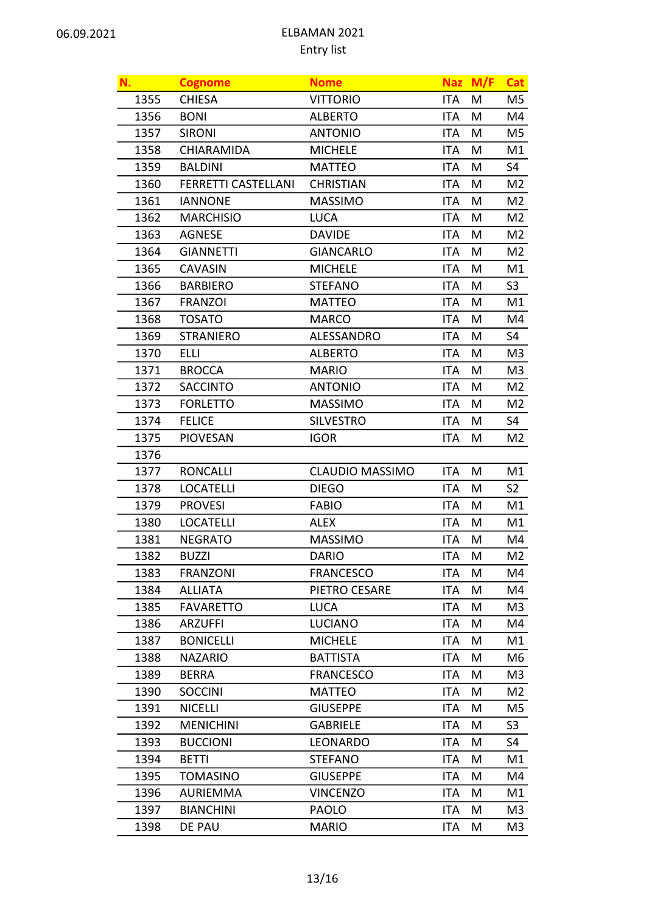| N.   | <b>Cognome</b>             | <b>Nome</b>            | <b>Naz</b> | M/F | Cat            |
|------|----------------------------|------------------------|------------|-----|----------------|
| 1355 | <b>CHIESA</b>              | <b>VITTORIO</b>        | <b>ITA</b> | M   | M5             |
| 1356 | <b>BONI</b>                | <b>ALBERTO</b>         | <b>ITA</b> | M   | M4             |
| 1357 | <b>SIRONI</b>              | <b>ANTONIO</b>         | <b>ITA</b> | M   | M5             |
| 1358 | CHIARAMIDA                 | <b>MICHELE</b>         | <b>ITA</b> | M   | M1             |
| 1359 | <b>BALDINI</b>             | <b>MATTEO</b>          | <b>ITA</b> | M   | S4             |
| 1360 | <b>FERRETTI CASTELLANI</b> | <b>CHRISTIAN</b>       | <b>ITA</b> | M   | M <sub>2</sub> |
| 1361 | <b>IANNONE</b>             | <b>MASSIMO</b>         | <b>ITA</b> | M   | M <sub>2</sub> |
| 1362 | <b>MARCHISIO</b>           | <b>LUCA</b>            | <b>ITA</b> | M   | M2             |
| 1363 | <b>AGNESE</b>              | <b>DAVIDE</b>          | <b>ITA</b> | M   | M2             |
| 1364 | <b>GIANNETTI</b>           | <b>GIANCARLO</b>       | <b>ITA</b> | M   | M <sub>2</sub> |
| 1365 | <b>CAVASIN</b>             | <b>MICHELE</b>         | <b>ITA</b> | M   | M1             |
| 1366 | <b>BARBIERO</b>            | <b>STEFANO</b>         | <b>ITA</b> | M   | S <sub>3</sub> |
| 1367 | <b>FRANZOI</b>             | <b>MATTEO</b>          | <b>ITA</b> | M   | M1             |
| 1368 | <b>TOSATO</b>              | <b>MARCO</b>           | <b>ITA</b> | M   | M4             |
| 1369 | <b>STRANIERO</b>           | ALESSANDRO             | <b>ITA</b> | M   | S4             |
| 1370 | <b>ELLI</b>                | <b>ALBERTO</b>         | <b>ITA</b> | M   | M3             |
| 1371 | <b>BROCCA</b>              | <b>MARIO</b>           | <b>ITA</b> | M   | M3             |
| 1372 | <b>SACCINTO</b>            | <b>ANTONIO</b>         | <b>ITA</b> | M   | M2             |
| 1373 | <b>FORLETTO</b>            | <b>MASSIMO</b>         | ITA        | M   | M2             |
| 1374 | <b>FELICE</b>              | <b>SILVESTRO</b>       | <b>ITA</b> | M   | S4             |
| 1375 | <b>PIOVESAN</b>            | <b>IGOR</b>            | ITA        | M   | M <sub>2</sub> |
| 1376 |                            |                        |            |     |                |
| 1377 | <b>RONCALLI</b>            | <b>CLAUDIO MASSIMO</b> | <b>ITA</b> | M   | M1             |
| 1378 | <b>LOCATELLI</b>           | <b>DIEGO</b>           | <b>ITA</b> | M   | S <sub>2</sub> |
| 1379 | <b>PROVESI</b>             | <b>FABIO</b>           | <b>ITA</b> | M   | M1             |
| 1380 | <b>LOCATELLI</b>           | <b>ALEX</b>            | <b>ITA</b> | M   | M1             |
| 1381 | <b>NEGRATO</b>             | <b>MASSIMO</b>         | <b>ITA</b> | M   | M4             |
| 1382 | <b>BUZZI</b>               | <b>DARIO</b>           | ITA        | M   | M <sub>2</sub> |
| 1383 | <b>FRANZONI</b>            | <b>FRANCESCO</b>       | ITA        | M   | M4             |
| 1384 | <b>ALLIATA</b>             | PIETRO CESARE          | ITA        | M   | M4             |
| 1385 | <b>FAVARETTO</b>           | <b>LUCA</b>            | <b>ITA</b> | M   | M3             |
| 1386 | <b>ARZUFFI</b>             | <b>LUCIANO</b>         | <b>ITA</b> | M   | M4             |
| 1387 | <b>BONICELLI</b>           | <b>MICHELE</b>         | <b>ITA</b> | M   | M1             |
| 1388 | <b>NAZARIO</b>             | <b>BATTISTA</b>        | ITA        | M   | M6             |
| 1389 | <b>BERRA</b>               | <b>FRANCESCO</b>       | <b>ITA</b> | M   | M3             |
| 1390 | <b>SOCCINI</b>             | <b>MATTEO</b>          | <b>ITA</b> | M   | M2             |
| 1391 | <b>NICELLI</b>             | <b>GIUSEPPE</b>        | ITA        | M   | M5             |
| 1392 | <b>MENICHINI</b>           | <b>GABRIELE</b>        | ITA        | M   | S <sub>3</sub> |
| 1393 | <b>BUCCIONI</b>            | <b>LEONARDO</b>        | <b>ITA</b> | M   | S4             |
| 1394 | <b>BETTI</b>               | <b>STEFANO</b>         | ITA        | M   | M1             |
| 1395 | <b>TOMASINO</b>            | <b>GIUSEPPE</b>        | <b>ITA</b> | M   | M4             |
| 1396 | <b>AURIEMMA</b>            | <b>VINCENZO</b>        | <b>ITA</b> | M   | M1             |
| 1397 | <b>BIANCHINI</b>           | <b>PAOLO</b>           | <b>ITA</b> | M   | M <sub>3</sub> |
| 1398 | DE PAU                     | <b>MARIO</b>           | ITA        | M   | M3             |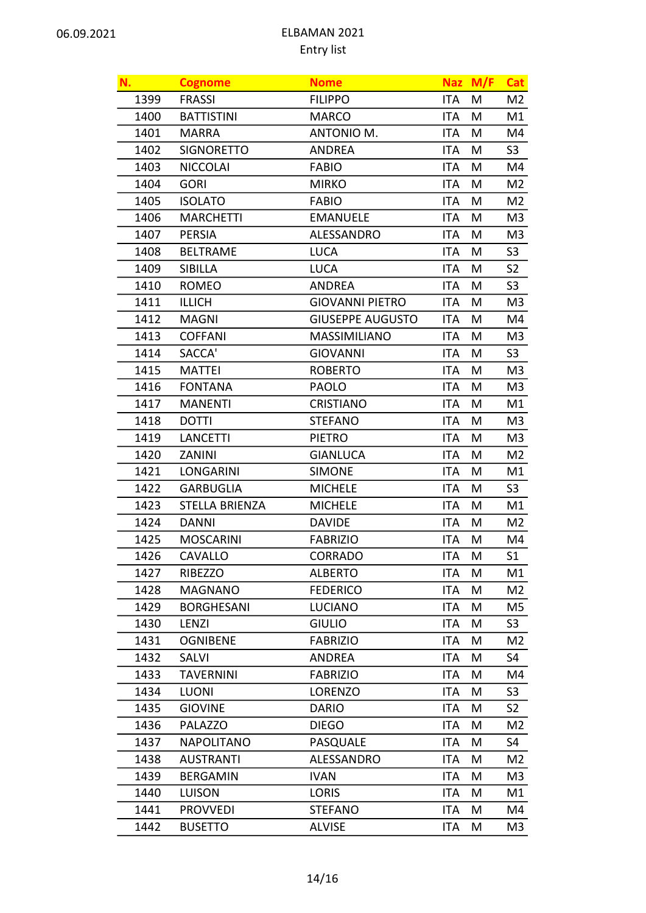| N.   | <b>Cognome</b>    | <b>Nome</b>             |            | Naz M/F | <b>Cat</b>     |
|------|-------------------|-------------------------|------------|---------|----------------|
| 1399 | <b>FRASSI</b>     | <b>FILIPPO</b>          | <b>ITA</b> | M       | M2             |
| 1400 | <b>BATTISTINI</b> | <b>MARCO</b>            | ITA        | M       | M1             |
| 1401 | <b>MARRA</b>      | ANTONIO M.              | <b>ITA</b> | M       | M4             |
| 1402 | <b>SIGNORETTO</b> | <b>ANDREA</b>           | <b>ITA</b> | M       | S <sub>3</sub> |
| 1403 | <b>NICCOLAI</b>   | <b>FABIO</b>            | <b>ITA</b> | M       | M4             |
| 1404 | <b>GORI</b>       | <b>MIRKO</b>            | <b>ITA</b> | M       | M2             |
| 1405 | <b>ISOLATO</b>    | <b>FABIO</b>            | <b>ITA</b> | M       | M <sub>2</sub> |
| 1406 | <b>MARCHETTI</b>  | <b>EMANUELE</b>         | <b>ITA</b> | M       | M <sub>3</sub> |
| 1407 | <b>PERSIA</b>     | ALESSANDRO              | <b>ITA</b> | M       | M3             |
| 1408 | <b>BELTRAME</b>   | <b>LUCA</b>             | <b>ITA</b> | M       | S <sub>3</sub> |
| 1409 | <b>SIBILLA</b>    | <b>LUCA</b>             | <b>ITA</b> | M       | S <sub>2</sub> |
| 1410 | <b>ROMEO</b>      | <b>ANDREA</b>           | <b>ITA</b> | M       | S <sub>3</sub> |
| 1411 | <b>ILLICH</b>     | <b>GIOVANNI PIETRO</b>  | <b>ITA</b> | M       | M3             |
| 1412 | <b>MAGNI</b>      | <b>GIUSEPPE AUGUSTO</b> | <b>ITA</b> | M       | M4             |
| 1413 | <b>COFFANI</b>    | <b>MASSIMILIANO</b>     | <b>ITA</b> | M       | M3             |
| 1414 | SACCA'            | <b>GIOVANNI</b>         | <b>ITA</b> | M       | S <sub>3</sub> |
| 1415 | <b>MATTEI</b>     | <b>ROBERTO</b>          | <b>ITA</b> | M       | M3             |
| 1416 | <b>FONTANA</b>    | <b>PAOLO</b>            | <b>ITA</b> | M       | M3             |
| 1417 | <b>MANENTI</b>    | <b>CRISTIANO</b>        | <b>ITA</b> | M       | M1             |
| 1418 | <b>DOTTI</b>      | <b>STEFANO</b>          | <b>ITA</b> | M       | M3             |
| 1419 | <b>LANCETTI</b>   | <b>PIETRO</b>           | <b>ITA</b> | M       | M3             |
| 1420 | <b>ZANINI</b>     | <b>GIANLUCA</b>         | <b>ITA</b> | M       | M <sub>2</sub> |
| 1421 | <b>LONGARINI</b>  | <b>SIMONE</b>           | <b>ITA</b> | M       | M1             |
| 1422 | <b>GARBUGLIA</b>  | <b>MICHELE</b>          | <b>ITA</b> | M       | S <sub>3</sub> |
| 1423 | STELLA BRIENZA    | <b>MICHELE</b>          | <b>ITA</b> | M       | M1             |
| 1424 | <b>DANNI</b>      | <b>DAVIDE</b>           | <b>ITA</b> | M       | M <sub>2</sub> |
| 1425 | <b>MOSCARINI</b>  | <b>FABRIZIO</b>         | ITA        | M       | M4             |
| 1426 | CAVALLO           | CORRADO                 | ITA        | M       | S <sub>1</sub> |
| 1427 | RIBEZZO           | <b>ALBERTO</b>          | ITA        | M       | M1             |
| 1428 | <b>MAGNANO</b>    | <b>FEDERICO</b>         | <b>ITA</b> | M       | M2             |
| 1429 | <b>BORGHESANI</b> | <b>LUCIANO</b>          | <b>ITA</b> | M       | M5             |
| 1430 | LENZI             | <b>GIULIO</b>           | <b>ITA</b> | M       | S <sub>3</sub> |
| 1431 | <b>OGNIBENE</b>   | <b>FABRIZIO</b>         | <b>ITA</b> | Μ       | M2             |
| 1432 | <b>SALVI</b>      | <b>ANDREA</b>           | <b>ITA</b> | M       | S4             |
| 1433 | <b>TAVERNINI</b>  | <b>FABRIZIO</b>         | <b>ITA</b> | M       | M4             |
| 1434 | <b>LUONI</b>      | <b>LORENZO</b>          | <b>ITA</b> | M       | S <sub>3</sub> |
| 1435 | <b>GIOVINE</b>    | <b>DARIO</b>            | ITA        | M       | S <sub>2</sub> |
| 1436 | <b>PALAZZO</b>    | <b>DIEGO</b>            | ITA        | Μ       | M2             |
| 1437 | <b>NAPOLITANO</b> | PASQUALE                | <b>ITA</b> | M       | S4             |
| 1438 | <b>AUSTRANTI</b>  | ALESSANDRO              | <b>ITA</b> | M       | M2             |
| 1439 | <b>BERGAMIN</b>   | <b>IVAN</b>             | <b>ITA</b> | M       | M3             |
| 1440 | <b>LUISON</b>     | <b>LORIS</b>            | ITA        | M       | M1             |
| 1441 | <b>PROVVEDI</b>   | <b>STEFANO</b>          | <b>ITA</b> | Μ       | M4             |
| 1442 | <b>BUSETTO</b>    | <b>ALVISE</b>           | ITA        | M       | M3             |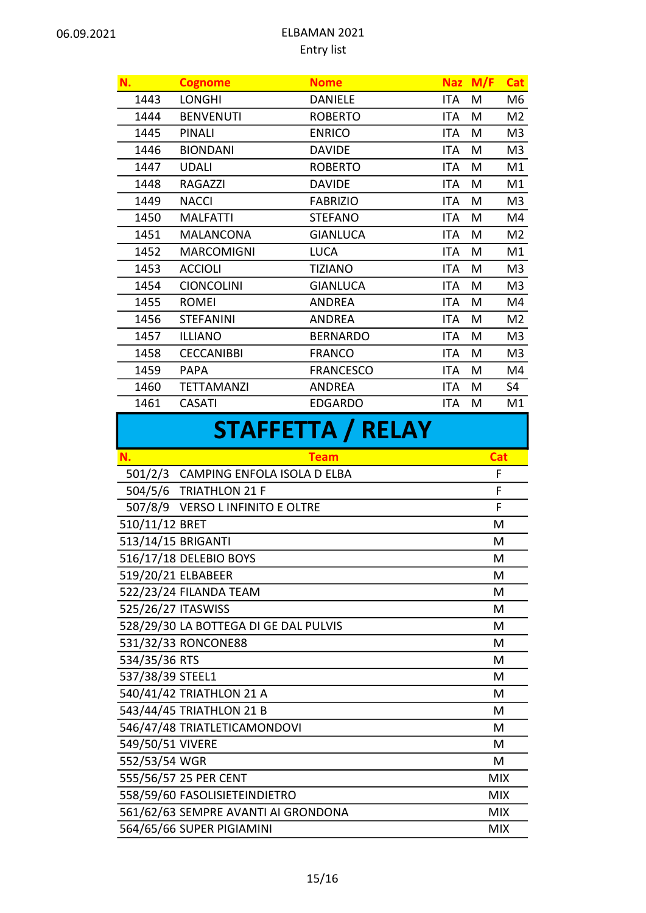| N.                     | <b>Cognome</b>    | <b>Nome</b>      | <b>Naz</b> | M/F | <b>Cat</b>     |  |
|------------------------|-------------------|------------------|------------|-----|----------------|--|
| 1443                   | <b>LONGHI</b>     | <b>DANIELE</b>   | <b>ITA</b> | M   | M6             |  |
| 1444                   | <b>BENVENUTI</b>  | <b>ROBERTO</b>   | ITA        | M   | M <sub>2</sub> |  |
| 1445                   | <b>PINALI</b>     | <b>ENRICO</b>    | <b>ITA</b> | M   | M <sub>3</sub> |  |
| 1446                   | <b>BIONDANI</b>   | <b>DAVIDE</b>    | <b>ITA</b> | M   | M <sub>3</sub> |  |
| 1447                   | <b>UDALI</b>      | <b>ROBERTO</b>   | <b>ITA</b> | M   | M1             |  |
| 1448                   | RAGAZZI           | <b>DAVIDE</b>    | <b>ITA</b> | M   | M1             |  |
| 1449                   | <b>NACCI</b>      | <b>FABRIZIO</b>  | <b>ITA</b> | M   | M <sub>3</sub> |  |
| 1450                   | <b>MALFATTI</b>   | <b>STEFANO</b>   | ITA        | M   | M4             |  |
| 1451                   | <b>MALANCONA</b>  | <b>GIANLUCA</b>  | <b>ITA</b> | M   | M <sub>2</sub> |  |
| 1452                   | <b>MARCOMIGNI</b> | <b>LUCA</b>      | <b>ITA</b> | М   | M1             |  |
| 1453                   | <b>ACCIOLI</b>    | <b>TIZIANO</b>   | <b>ITA</b> | M   | M <sub>3</sub> |  |
| 1454                   | <b>CIONCOLINI</b> | <b>GIANLUCA</b>  | ITA        | M   | M <sub>3</sub> |  |
| 1455                   | <b>ROMEI</b>      | <b>ANDREA</b>    | ITA        | M   | M4             |  |
| 1456                   | <b>STEFANINI</b>  | <b>ANDREA</b>    | <b>ITA</b> | M   | M <sub>2</sub> |  |
| 1457                   | <b>ILLIANO</b>    | <b>BERNARDO</b>  | <b>ITA</b> | M   | M <sub>3</sub> |  |
| 1458                   | <b>CECCANIBBI</b> | <b>FRANCO</b>    | <b>ITA</b> | M   | M <sub>3</sub> |  |
| 1459                   | <b>PAPA</b>       | <b>FRANCESCO</b> | <b>ITA</b> | M   | M4             |  |
| 1460                   | <b>TETTAMANZI</b> | <b>ANDREA</b>    | ITA        | M   | S4             |  |
| 1461                   | <b>CASATI</b>     | <b>EDGARDO</b>   | ITA        | M   | M1             |  |
| CTA ECETTA<br>/ DEI AV |                   |                  |            |     |                |  |

# SIAFFETTA / RELAY

| N.                 | <b>Team</b>                           | <b>Cat</b> |
|--------------------|---------------------------------------|------------|
|                    | 501/2/3 CAMPING ENFOLA ISOLA D ELBA   | F          |
|                    | 504/5/6 TRIATHLON 21 F                | F          |
|                    | 507/8/9 VERSO L INFINITO E OLTRE      | F          |
| 510/11/12 BRET     |                                       | M          |
| 513/14/15 BRIGANTI |                                       | M          |
|                    | 516/17/18 DELEBIO BOYS                | м          |
|                    | 519/20/21 ELBABEER                    | M          |
|                    | 522/23/24 FILANDA TEAM                | М          |
| 525/26/27 ITASWISS |                                       | M          |
|                    | 528/29/30 LA BOTTEGA DI GE DAL PULVIS | M          |
|                    | 531/32/33 RONCONE88                   | м          |
| 534/35/36 RTS      |                                       | M          |
| 537/38/39 STEEL1   |                                       | М          |
|                    | 540/41/42 TRIATHLON 21 A              | M          |
|                    | 543/44/45 TRIATHLON 21 B              | M          |
|                    | 546/47/48 TRIATLETICAMONDOVI          | M          |
| 549/50/51 VIVERE   |                                       | M          |
| 552/53/54 WGR      |                                       | M          |
|                    | 555/56/57 25 PER CENT                 | <b>MIX</b> |
|                    | 558/59/60 FASOLISIETEINDIETRO         | <b>MIX</b> |
|                    | 561/62/63 SEMPRE AVANTI AI GRONDONA   | <b>MIX</b> |
|                    | 564/65/66 SUPER PIGIAMINI             | <b>MIX</b> |